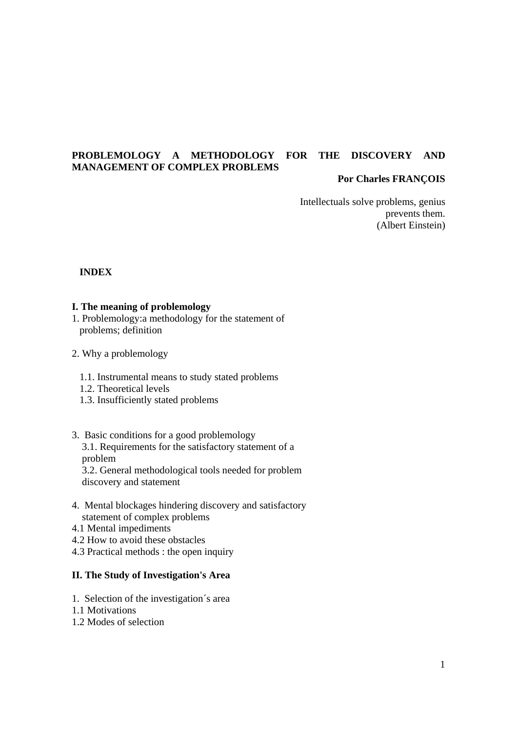# **PROBLEMOLOGY A METHODOLOGY FOR THE DISCOVERY AND MANAGEMENT OF COMPLEX PROBLEMS**

# **Por Charles FRANÇOIS**

 Intellectuals solve problems, genius prevents them. (Albert Einstein)

 **INDEX** 

# **I. The meaning of problemology**

- 1. Problemology:a methodology for the statement of problems; definition
- 2. Why a problemology
	- 1.1. Instrumental means to study stated problems
	- 1.2. Theoretical levels
	- 1.3. Insufficiently stated problems
- 3. Basic conditions for a good problemology

 3.1. Requirements for the satisfactory statement of a problem

 3.2. General methodological tools needed for problem discovery and statement

- 4. Mental blockages hindering discovery and satisfactory statement of complex problems
- 4.1 Mental impediments
- 4.2 How to avoid these obstacles
- 4.3 Practical methods : the open inquiry

# **II. The Study of Investigation's Area**

- 1. Selection of the investigation´s area
- 1.1 Motivations
- 1.2 Modes of selection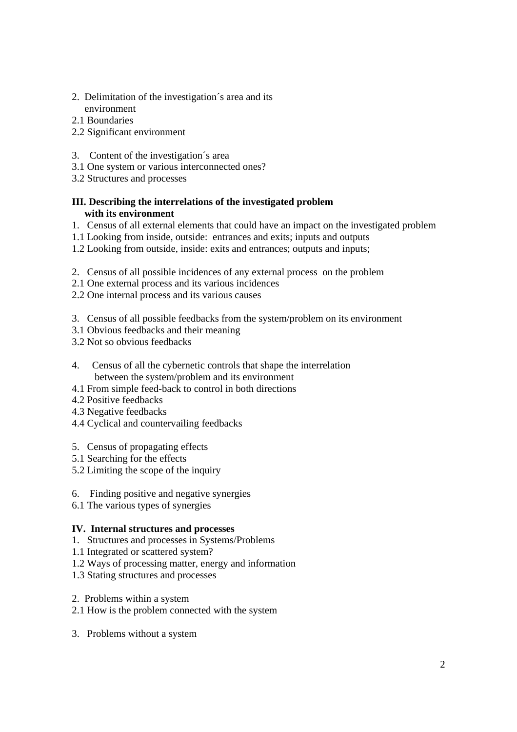- 2. Delimitation of the investigation´s area and its environment
- 2.1 Boundaries
- 2.2 Significant environment
- 3. Content of the investigation´s area
- 3.1 One system or various interconnected ones?
- 3.2 Structures and processes

# **III. Describing the interrelations of the investigated problem with its environment**

- 1. Census of all external elements that could have an impact on the investigated problem
- 1.1 Looking from inside, outside: entrances and exits; inputs and outputs
- 1.2 Looking from outside, inside: exits and entrances; outputs and inputs;
- 2. Census of all possible incidences of any external process on the problem
- 2.1 One external process and its various incidences
- 2.2 One internal process and its various causes
- 3. Census of all possible feedbacks from the system/problem on its environment
- 3.1 Obvious feedbacks and their meaning
- 3.2 Not so obvious feedbacks
- 4. Census of all the cybernetic controls that shape the interrelation between the system/problem and its environment
- 4.1 From simple feed-back to control in both directions
- 4.2 Positive feedbacks
- 4.3 Negative feedbacks
- 4.4 Cyclical and countervailing feedbacks
- 5. Census of propagating effects
- 5.1 Searching for the effects
- 5.2 Limiting the scope of the inquiry
- 6. Finding positive and negative synergies
- 6.1 The various types of synergies

# **IV. Internal structures and processes**

- 1. Structures and processes in Systems/Problems
- 1.1 Integrated or scattered system?
- 1.2 Ways of processing matter, energy and information
- 1.3 Stating structures and processes
- 2. Problems within a system
- 2.1 How is the problem connected with the system
- 3. Problems without a system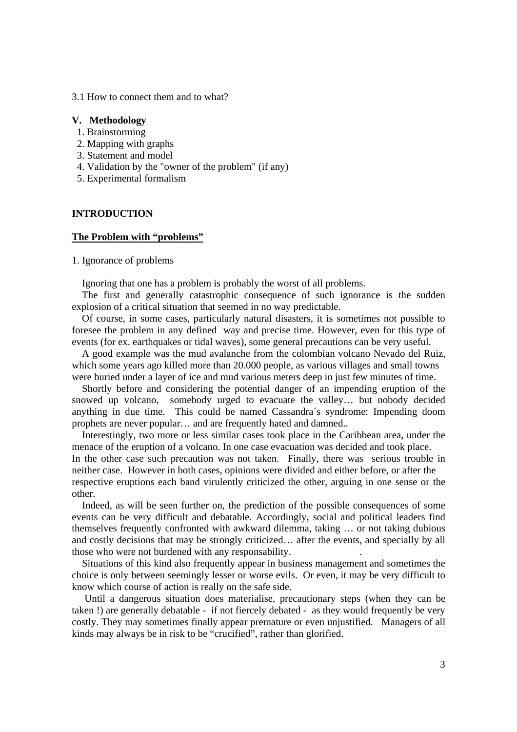3.1 How to connect them and to what?

## **V. Methodology**

- 1. Brainstorming
- 2. Mapping with graphs
- 3. Statement and model
- 4. Validation by the "owner of the problem" (if any)
- 5. Experimental formalism

# **INTRODUCTION**

### **The Problem with "problems"**

1. Ignorance of problems

Ignoring that one has a problem is probably the worst of all problems.

 The first and generally catastrophic consequence of such ignorance is the sudden explosion of a critical situation that seemed in no way predictable.

 Of course, in some cases, particularly natural disasters, it is sometimes not possible to foresee the problem in any defined way and precise time. However, even for this type of events (for ex. earthquakes or tidal waves), some general precautions can be very useful.

 A good example was the mud avalanche from the colombian volcano Nevado del Ruiz, which some years ago killed more than 20.000 people, as various villages and small towns were buried under a layer of ice and mud various meters deep in just few minutes of time.

 Shortly before and considering the potential danger of an impending eruption of the snowed up volcano, somebody urged to evacuate the valley… but nobody decided anything in due time. This could be named Cassandra´s syndrome: Impending doom prophets are never popular… and are frequently hated and damned..

 Interestingly, two more or less similar cases took place in the Caribbean area, under the menace of the eruption of a volcano. In one case evacuation was decided and took place.

In the other case such precaution was not taken. Finally, there was serious trouble in neither case. However in both cases, opinions were divided and either before, or after the respective eruptions each band virulently criticized the other, arguing in one sense or the other.

 Indeed, as will be seen further on, the prediction of the possible consequences of some events can be very difficult and debatable. Accordingly, social and political leaders find themselves frequently confronted with awkward dilemma, taking … or not taking dubious and costly decisions that may be strongly criticized… after the events, and specially by all those who were not burdened with any responsability. .

 Situations of this kind also frequently appear in business management and sometimes the choice is only between seemingly lesser or worse evils. Or even, it may be very difficult to know which course of action is really on the safe side.

 Until a dangerous situation does materialise, precautionary steps (when they can be taken !) are generally debatable - if not fiercely debated - as they would frequently be very costly. They may sometimes finally appear premature or even unjustified. Managers of all kinds may always be in risk to be "crucified", rather than glorified.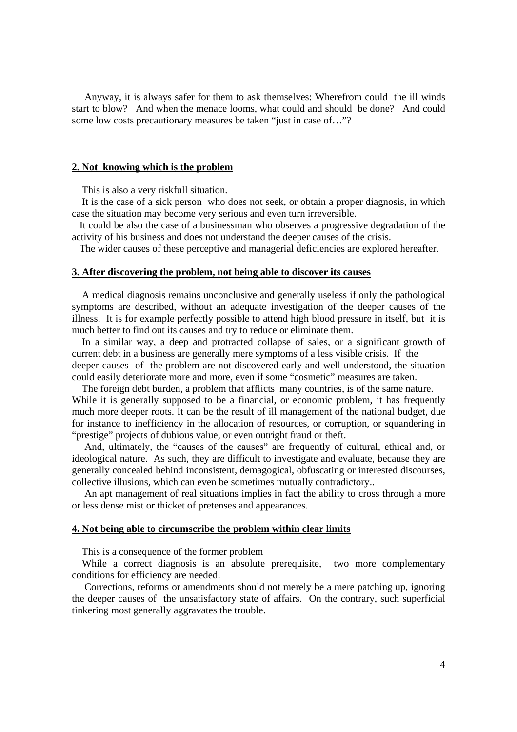Anyway, it is always safer for them to ask themselves: Wherefrom could the ill winds start to blow? And when the menace looms, what could and should be done? And could some low costs precautionary measures be taken "just in case of…"?

# **2. Not knowing which is the problem**

This is also a very riskfull situation.

 It is the case of a sick person who does not seek, or obtain a proper diagnosis, in which case the situation may become very serious and even turn irreversible.

 It could be also the case of a businessman who observes a progressive degradation of the activity of his business and does not understand the deeper causes of the crisis.

The wider causes of these perceptive and managerial deficiencies are explored hereafter.

# **3. After discovering the problem, not being able to discover its causes**

 A medical diagnosis remains unconclusive and generally useless if only the pathological symptoms are described, without an adequate investigation of the deeper causes of the illness. It is for example perfectly possible to attend high blood pressure in itself, but it is much better to find out its causes and try to reduce or eliminate them.

 In a similar way, a deep and protracted collapse of sales, or a significant growth of current debt in a business are generally mere symptoms of a less visible crisis. If the deeper causes of the problem are not discovered early and well understood, the situation could easily deteriorate more and more, even if some "cosmetic" measures are taken.

 The foreign debt burden, a problem that afflicts many countries, is of the same nature. While it is generally supposed to be a financial, or economic problem, it has frequently much more deeper roots. It can be the result of ill management of the national budget, due for instance to inefficiency in the allocation of resources, or corruption, or squandering in "prestige" projects of dubious value, or even outright fraud or theft.

 And, ultimately, the "causes of the causes" are frequently of cultural, ethical and, or ideological nature. As such, they are difficult to investigate and evaluate, because they are generally concealed behind inconsistent, demagogical, obfuscating or interested discourses, collective illusions, which can even be sometimes mutually contradictory..

 An apt management of real situations implies in fact the ability to cross through a more or less dense mist or thicket of pretenses and appearances.

## **4. Not being able to circumscribe the problem within clear limits**

This is a consequence of the former problem

 While a correct diagnosis is an absolute prerequisite, two more complementary conditions for efficiency are needed.

 Corrections, reforms or amendments should not merely be a mere patching up, ignoring the deeper causes of the unsatisfactory state of affairs. On the contrary, such superficial tinkering most generally aggravates the trouble.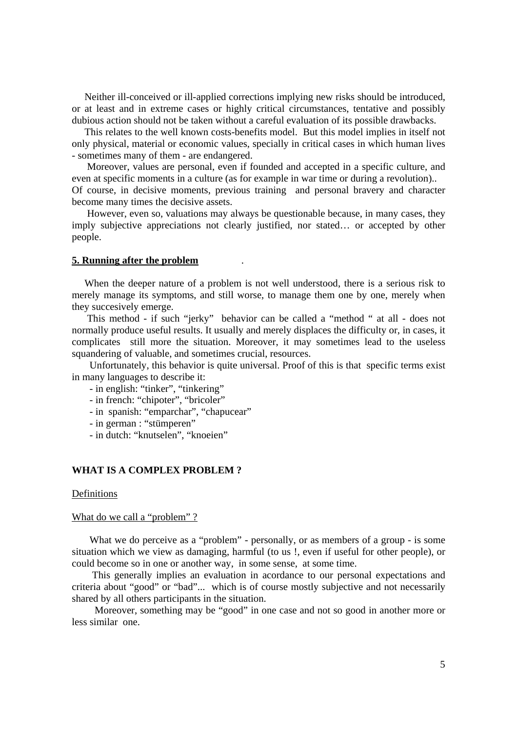Neither ill-conceived or ill-applied corrections implying new risks should be introduced, or at least and in extreme cases or highly critical circumstances, tentative and possibly dubious action should not be taken without a careful evaluation of its possible drawbacks.

 This relates to the well known costs-benefits model. But this model implies in itself not only physical, material or economic values, specially in critical cases in which human lives - sometimes many of them - are endangered.

 Moreover, values are personal, even if founded and accepted in a specific culture, and even at specific moments in a culture (as for example in war time or during a revolution).. Of course, in decisive moments, previous training and personal bravery and character

become many times the decisive assets.

 However, even so, valuations may always be questionable because, in many cases, they imply subjective appreciations not clearly justified, nor stated… or accepted by other people.

## **5. Running after the problem** .

 When the deeper nature of a problem is not well understood, there is a serious risk to merely manage its symptoms, and still worse, to manage them one by one, merely when they succesively emerge.

 This method - if such "jerky" behavior can be called a "method " at all - does not normally produce useful results. It usually and merely displaces the difficulty or, in cases, it complicates still more the situation. Moreover, it may sometimes lead to the useless squandering of valuable, and sometimes crucial, resources.

 Unfortunately, this behavior is quite universal. Proof of this is that specific terms exist in many languages to describe it:

- in english: "tinker", "tinkering"
- in french: "chipoter", "bricoler"
- in spanish: "emparchar", "chapucear"
- in german : "stümperen"
- in dutch: "knutselen", "knoeien"

# **WHAT IS A COMPLEX PROBLEM ?**

## Definitions

#### What do we call a "problem"?

What we do perceive as a "problem" - personally, or as members of a group - is some situation which we view as damaging, harmful (to us !, even if useful for other people), or could become so in one or another way, in some sense, at some time.

 This generally implies an evaluation in acordance to our personal expectations and criteria about "good" or "bad"... which is of course mostly subjective and not necessarily shared by all others participants in the situation.

 Moreover, something may be "good" in one case and not so good in another more or less similar one.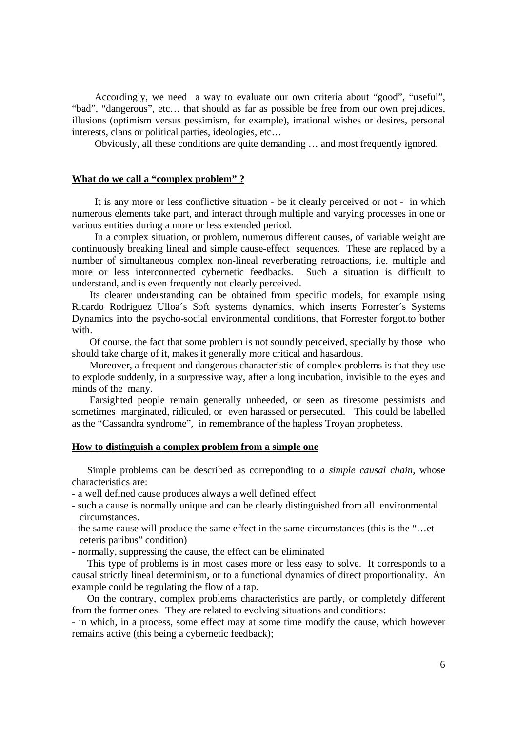Accordingly, we need a way to evaluate our own criteria about "good", "useful", "bad", "dangerous", etc… that should as far as possible be free from our own prejudices, illusions (optimism versus pessimism, for example), irrational wishes or desires, personal interests, clans or political parties, ideologies, etc…

Obviously, all these conditions are quite demanding … and most frequently ignored.

## **What do we call a "complex problem" ?**

 It is any more or less conflictive situation - be it clearly perceived or not - in which numerous elements take part, and interact through multiple and varying processes in one or various entities during a more or less extended period.

 In a complex situation, or problem, numerous different causes, of variable weight are continuously breaking lineal and simple cause-effect sequences. These are replaced by a number of simultaneous complex non-lineal reverberating retroactions, i.e. multiple and more or less interconnected cybernetic feedbacks. Such a situation is difficult to understand, and is even frequently not clearly perceived.

 Its clearer understanding can be obtained from specific models, for example using Ricardo Rodriguez Ulloa´s Soft systems dynamics, which inserts Forrester´s Systems Dynamics into the psycho-social environmental conditions, that Forrester forgot.to bother with.

 Of course, the fact that some problem is not soundly perceived, specially by those who should take charge of it, makes it generally more critical and hasardous.

 Moreover, a frequent and dangerous characteristic of complex problems is that they use to explode suddenly, in a surpressive way, after a long incubation, invisible to the eyes and minds of the many.

 Farsighted people remain generally unheeded, or seen as tiresome pessimists and sometimes marginated, ridiculed, or even harassed or persecuted. This could be labelled as the "Cassandra syndrome", in remembrance of the hapless Troyan prophetess.

## **How to distinguish a complex problem from a simple one**

 Simple problems can be described as correponding to *a simple causal chain*, whose characteristics are:

- a well defined cause produces always a well defined effect
- such a cause is normally unique and can be clearly distinguished from all environmental circumstances.
- the same cause will produce the same effect in the same circumstances (this is the "…et ceteris paribus" condition)
- normally, suppressing the cause, the effect can be eliminated

 This type of problems is in most cases more or less easy to solve. It corresponds to a causal strictly lineal determinism, or to a functional dynamics of direct proportionality. An example could be regulating the flow of a tap.

 On the contrary, complex problems characteristics are partly, or completely different from the former ones. They are related to evolving situations and conditions:

- in which, in a process, some effect may at some time modify the cause, which however remains active (this being a cybernetic feedback);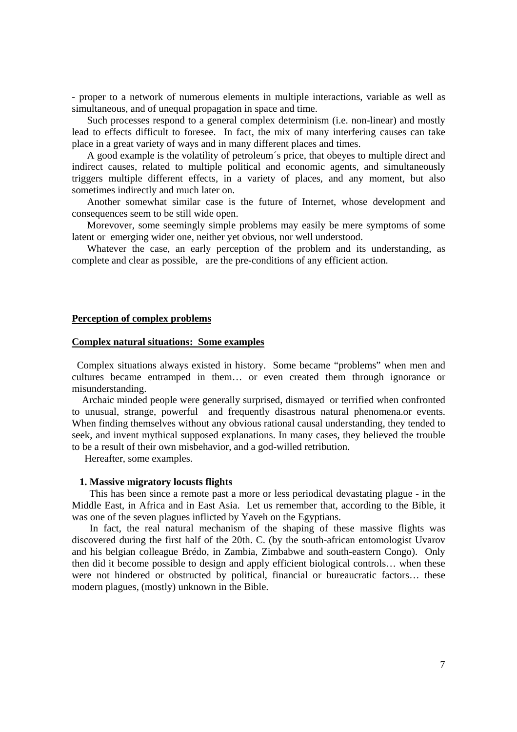- proper to a network of numerous elements in multiple interactions, variable as well as simultaneous, and of unequal propagation in space and time.

 Such processes respond to a general complex determinism (i.e. non-linear) and mostly lead to effects difficult to foresee. In fact, the mix of many interfering causes can take place in a great variety of ways and in many different places and times.

 A good example is the volatility of petroleum´s price, that obeyes to multiple direct and indirect causes, related to multiple political and economic agents, and simultaneously triggers multiple different effects, in a variety of places, and any moment, but also sometimes indirectly and much later on.

 Another somewhat similar case is the future of Internet, whose development and consequences seem to be still wide open.

 Morevover, some seemingly simple problems may easily be mere symptoms of some latent or emerging wider one, neither yet obvious, nor well understood.

 Whatever the case, an early perception of the problem and its understanding, as complete and clear as possible, are the pre-conditions of any efficient action.

# **Perception of complex problems**

## **Complex natural situations: Some examples**

 Complex situations always existed in history. Some became "problems" when men and cultures became entramped in them… or even created them through ignorance or misunderstanding.

 Archaic minded people were generally surprised, dismayed or terrified when confronted to unusual, strange, powerful and frequently disastrous natural phenomena.or events. When finding themselves without any obvious rational causal understanding, they tended to seek, and invent mythical supposed explanations. In many cases, they believed the trouble to be a result of their own misbehavior, and a god-willed retribution.

Hereafter, some examples.

#### **1. Massive migratory locusts flights**

 This has been since a remote past a more or less periodical devastating plague - in the Middle East, in Africa and in East Asia. Let us remember that, according to the Bible, it was one of the seven plagues inflicted by Yaveh on the Egyptians.

 In fact, the real natural mechanism of the shaping of these massive flights was discovered during the first half of the 20th. C. (by the south-african entomologist Uvarov and his belgian colleague Brédo, in Zambia, Zimbabwe and south-eastern Congo). Only then did it become possible to design and apply efficient biological controls… when these were not hindered or obstructed by political, financial or bureaucratic factors... these modern plagues, (mostly) unknown in the Bible.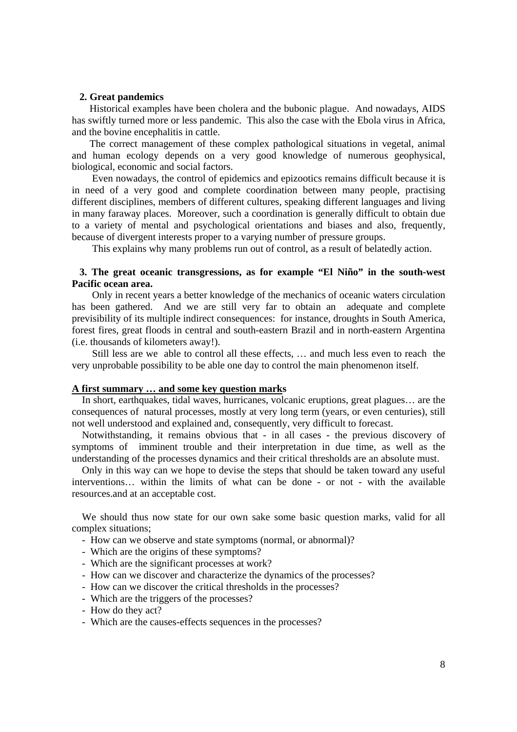### **2. Great pandemics**

 Historical examples have been cholera and the bubonic plague. And nowadays, AIDS has swiftly turned more or less pandemic. This also the case with the Ebola virus in Africa, and the bovine encephalitis in cattle.

 The correct management of these complex pathological situations in vegetal, animal and human ecology depends on a very good knowledge of numerous geophysical, biological, economic and social factors.

 Even nowadays, the control of epidemics and epizootics remains difficult because it is in need of a very good and complete coordination between many people, practising different disciplines, members of different cultures, speaking different languages and living in many faraway places. Moreover, such a coordination is generally difficult to obtain due to a variety of mental and psychological orientations and biases and also, frequently, because of divergent interests proper to a varying number of pressure groups.

This explains why many problems run out of control, as a result of belatedly action.

# **3. The great oceanic transgressions, as for example "El Niño" in the south-west Pacific ocean area.**

 Only in recent years a better knowledge of the mechanics of oceanic waters circulation has been gathered. And we are still very far to obtain an adequate and complete previsibility of its multiple indirect consequences: for instance, droughts in South America, forest fires, great floods in central and south-eastern Brazil and in north-eastern Argentina (i.e. thousands of kilometers away!).

 Still less are we able to control all these effects, … and much less even to reach the very unprobable possibility to be able one day to control the main phenomenon itself.

# **A first summary … and some key question marks**

 In short, earthquakes, tidal waves, hurricanes, volcanic eruptions, great plagues… are the consequences of natural processes, mostly at very long term (years, or even centuries), still not well understood and explained and, consequently, very difficult to forecast.

 Notwithstanding, it remains obvious that - in all cases - the previous discovery of symptoms of imminent trouble and their interpretation in due time, as well as the understanding of the processes dynamics and their critical thresholds are an absolute must.

 Only in this way can we hope to devise the steps that should be taken toward any useful interventions… within the limits of what can be done - or not - with the available resources.and at an acceptable cost.

 We should thus now state for our own sake some basic question marks, valid for all complex situations;

- How can we observe and state symptoms (normal, or abnormal)?
- Which are the origins of these symptoms?
- Which are the significant processes at work?
- How can we discover and characterize the dynamics of the processes?
- How can we discover the critical thresholds in the processes?
- Which are the triggers of the processes?
- How do they act?
- Which are the causes-effects sequences in the processes?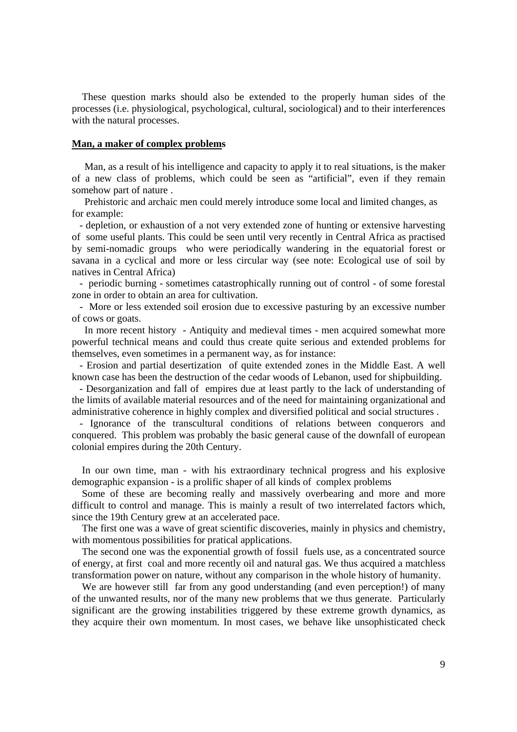These question marks should also be extended to the properly human sides of the processes (i.e. physiological, psychological, cultural, sociological) and to their interferences with the natural processes.

#### **Man, a maker of complex problems**

 Man, as a result of his intelligence and capacity to apply it to real situations, is the maker of a new class of problems, which could be seen as "artificial", even if they remain somehow part of nature .

 Prehistoric and archaic men could merely introduce some local and limited changes, as for example:

 - depletion, or exhaustion of a not very extended zone of hunting or extensive harvesting of some useful plants. This could be seen until very recently in Central Africa as practised by semi-nomadic groups who were periodically wandering in the equatorial forest or savana in a cyclical and more or less circular way (see note: Ecological use of soil by natives in Central Africa)

 - periodic burning - sometimes catastrophically running out of control - of some forestal zone in order to obtain an area for cultivation.

 - More or less extended soil erosion due to excessive pasturing by an excessive number of cows or goats.

 In more recent history - Antiquity and medieval times - men acquired somewhat more powerful technical means and could thus create quite serious and extended problems for themselves, even sometimes in a permanent way, as for instance:

 - Erosion and partial desertization of quite extended zones in the Middle East. A well known case has been the destruction of the cedar woods of Lebanon, used for shipbuilding.

 - Desorganization and fall of empires due at least partly to the lack of understanding of the limits of available material resources and of the need for maintaining organizational and administrative coherence in highly complex and diversified political and social structures .

 - Ignorance of the transcultural conditions of relations between conquerors and conquered. This problem was probably the basic general cause of the downfall of european colonial empires during the 20th Century.

 In our own time, man - with his extraordinary technical progress and his explosive demographic expansion - is a prolific shaper of all kinds of complex problems

 Some of these are becoming really and massively overbearing and more and more difficult to control and manage. This is mainly a result of two interrelated factors which, since the 19th Century grew at an accelerated pace.

 The first one was a wave of great scientific discoveries, mainly in physics and chemistry, with momentous possibilities for pratical applications.

 The second one was the exponential growth of fossil fuels use, as a concentrated source of energy, at first coal and more recently oil and natural gas. We thus acquired a matchless transformation power on nature, without any comparison in the whole history of humanity.

We are however still far from any good understanding (and even perception!) of many of the unwanted results, nor of the many new problems that we thus generate. Particularly significant are the growing instabilities triggered by these extreme growth dynamics, as they acquire their own momentum. In most cases, we behave like unsophisticated check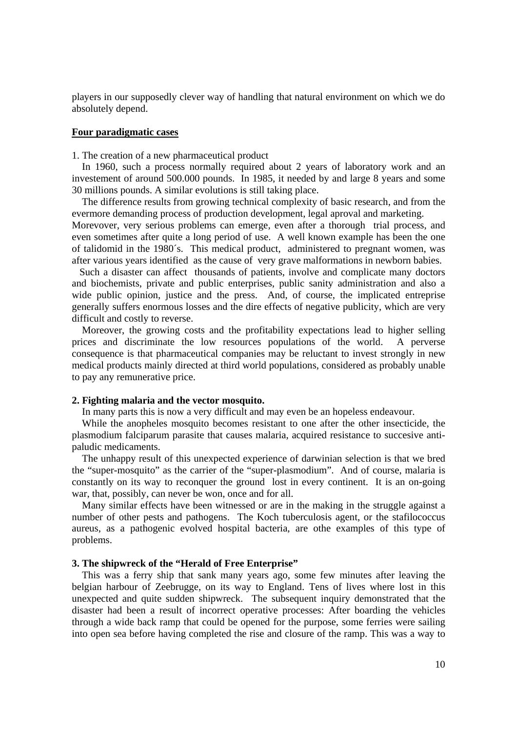players in our supposedly clever way of handling that natural environment on which we do absolutely depend.

## **Four paradigmatic cases**

1. The creation of a new pharmaceutical product

 In 1960, such a process normally required about 2 years of laboratory work and an investement of around 500.000 pounds. In 1985, it needed by and large 8 years and some 30 millions pounds. A similar evolutions is still taking place.

 The difference results from growing technical complexity of basic research, and from the evermore demanding process of production development, legal aproval and marketing. Morevover, very serious problems can emerge, even after a thorough trial process, and even sometimes after quite a long period of use. A well known example has been the one of talidomid in the 1980´s. This medical product, administered to pregnant women, was after various years identified as the cause of very grave malformations in newborn babies.

 Such a disaster can affect thousands of patients, involve and complicate many doctors and biochemists, private and public enterprises, public sanity administration and also a wide public opinion, justice and the press. And, of course, the implicated entreprise generally suffers enormous losses and the dire effects of negative publicity, which are very difficult and costly to reverse.

 Moreover, the growing costs and the profitability expectations lead to higher selling prices and discriminate the low resources populations of the world. A perverse consequence is that pharmaceutical companies may be reluctant to invest strongly in new medical products mainly directed at third world populations, considered as probably unable to pay any remunerative price.

#### **2. Fighting malaria and the vector mosquito.**

In many parts this is now a very difficult and may even be an hopeless endeavour.

 While the anopheles mosquito becomes resistant to one after the other insecticide, the plasmodium falciparum parasite that causes malaria, acquired resistance to succesive antipaludic medicaments.

 The unhappy result of this unexpected experience of darwinian selection is that we bred the "super-mosquito" as the carrier of the "super-plasmodium". And of course, malaria is constantly on its way to reconquer the ground lost in every continent. It is an on-going war, that, possibly, can never be won, once and for all.

 Many similar effects have been witnessed or are in the making in the struggle against a number of other pests and pathogens. The Koch tuberculosis agent, or the stafilococcus aureus, as a pathogenic evolved hospital bacteria, are othe examples of this type of problems.

#### **3. The shipwreck of the "Herald of Free Enterprise"**

 This was a ferry ship that sank many years ago, some few minutes after leaving the belgian harbour of Zeebrugge, on its way to England. Tens of lives where lost in this unexpected and quite sudden shipwreck. The subsequent inquiry demonstrated that the disaster had been a result of incorrect operative processes: After boarding the vehicles through a wide back ramp that could be opened for the purpose, some ferries were sailing into open sea before having completed the rise and closure of the ramp. This was a way to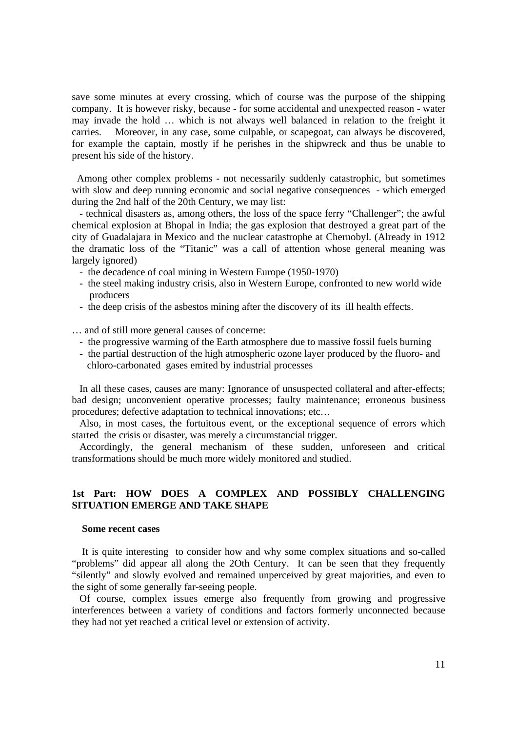save some minutes at every crossing, which of course was the purpose of the shipping company. It is however risky, because - for some accidental and unexpected reason - water may invade the hold … which is not always well balanced in relation to the freight it carries. Moreover, in any case, some culpable, or scapegoat, can always be discovered, for example the captain, mostly if he perishes in the shipwreck and thus be unable to present his side of the history.

 Among other complex problems - not necessarily suddenly catastrophic, but sometimes with slow and deep running economic and social negative consequences - which emerged during the 2nd half of the 20th Century, we may list:

 - technical disasters as, among others, the loss of the space ferry "Challenger"; the awful chemical explosion at Bhopal in India; the gas explosion that destroyed a great part of the city of Guadalajara in Mexico and the nuclear catastrophe at Chernobyl. (Already in 1912 the dramatic loss of the "Titanic" was a call of attention whose general meaning was largely ignored)

- the decadence of coal mining in Western Europe (1950-1970)
- the steel making industry crisis, also in Western Europe, confronted to new world wide producers
- the deep crisis of the asbestos mining after the discovery of its ill health effects.

… and of still more general causes of concerne:

- the progressive warming of the Earth atmosphere due to massive fossil fuels burning
- the partial destruction of the high atmospheric ozone layer produced by the fluoro- and chloro-carbonated gases emited by industrial processes

 In all these cases, causes are many: Ignorance of unsuspected collateral and after-effects; bad design; unconvenient operative processes; faulty maintenance; erroneous business procedures; defective adaptation to technical innovations; etc…

 Also, in most cases, the fortuitous event, or the exceptional sequence of errors which started the crisis or disaster, was merely a circumstancial trigger.

 Accordingly, the general mechanism of these sudden, unforeseen and critical transformations should be much more widely monitored and studied.

# **1st Part: HOW DOES A COMPLEX AND POSSIBLY CHALLENGING SITUATION EMERGE AND TAKE SHAPE**

#### **Some recent cases**

 It is quite interesting to consider how and why some complex situations and so-called "problems" did appear all along the 2Oth Century. It can be seen that they frequently "silently" and slowly evolved and remained unperceived by great majorities, and even to the sight of some generally far-seeing people.

 Of course, complex issues emerge also frequently from growing and progressive interferences between a variety of conditions and factors formerly unconnected because they had not yet reached a critical level or extension of activity.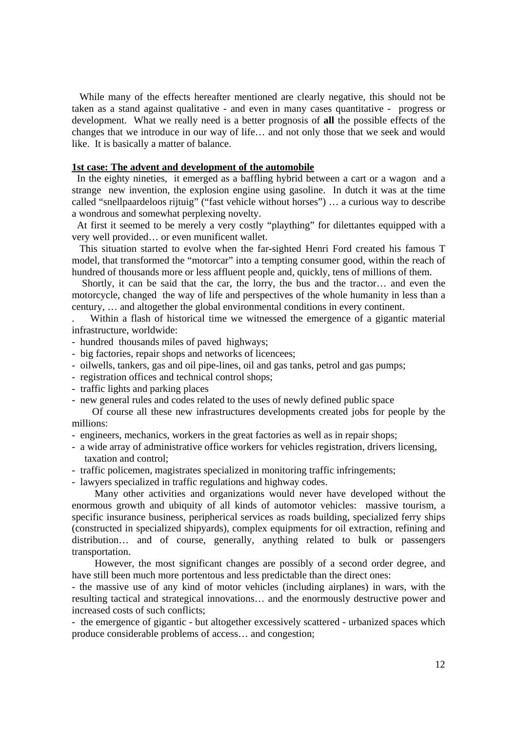While many of the effects hereafter mentioned are clearly negative, this should not be taken as a stand against qualitative - and even in many cases quantitative - progress or development. What we really need is a better prognosis of **all** the possible effects of the changes that we introduce in our way of life… and not only those that we seek and would like. It is basically a matter of balance.

# **1st case: The advent and development of the automobile**

 In the eighty nineties, it emerged as a baffling hybrid between a cart or a wagon and a strange new invention, the explosion engine using gasoline. In dutch it was at the time called "snellpaardeloos rijtuig" ("fast vehicle without horses") … a curious way to describe a wondrous and somewhat perplexing novelty.

 At first it seemed to be merely a very costly "plaything" for dilettantes equipped with a very well provided… or even munificent wallet.

 This situation started to evolve when the far-sighted Henri Ford created his famous T model, that transformed the "motorcar" into a tempting consumer good, within the reach of hundred of thousands more or less affluent people and, quickly, tens of millions of them.

 Shortly, it can be said that the car, the lorry, the bus and the tractor… and even the motorcycle, changed the way of life and perspectives of the whole humanity in less than a century, … and altogether the global environmental conditions in every continent.

. Within a flash of historical time we witnessed the emergence of a gigantic material infrastructure, worldwide:

- hundred thousands miles of paved highways;
- big factories, repair shops and networks of licencees;
- oilwells, tankers, gas and oil pipe-lines, oil and gas tanks, petrol and gas pumps;
- registration offices and technical control shops;
- traffic lights and parking places
- new general rules and codes related to the uses of newly defined public space

 Of course all these new infrastructures developments created jobs for people by the millions:

- engineers, mechanics, workers in the great factories as well as in repair shops;
- a wide array of administrative office workers for vehicles registration, drivers licensing, taxation and control;
- traffic policemen, magistrates specialized in monitoring traffic infringements;
- lawyers specialized in traffic regulations and highway codes.

 Many other activities and organizations would never have developed without the enormous growth and ubiquity of all kinds of automotor vehicles: massive tourism, a specific insurance business, peripherical services as roads building, specialized ferry ships (constructed in specialized shipyards), complex equipments for oil extraction, refining and distribution… and of course, generally, anything related to bulk or passengers transportation.

 However, the most significant changes are possibly of a second order degree, and have still been much more portentous and less predictable than the direct ones:

- the massive use of any kind of motor vehicles (including airplanes) in wars, with the resulting tactical and strategical innovations… and the enormously destructive power and increased costs of such conflicts;

- the emergence of gigantic - but altogether excessively scattered - urbanized spaces which produce considerable problems of access… and congestion;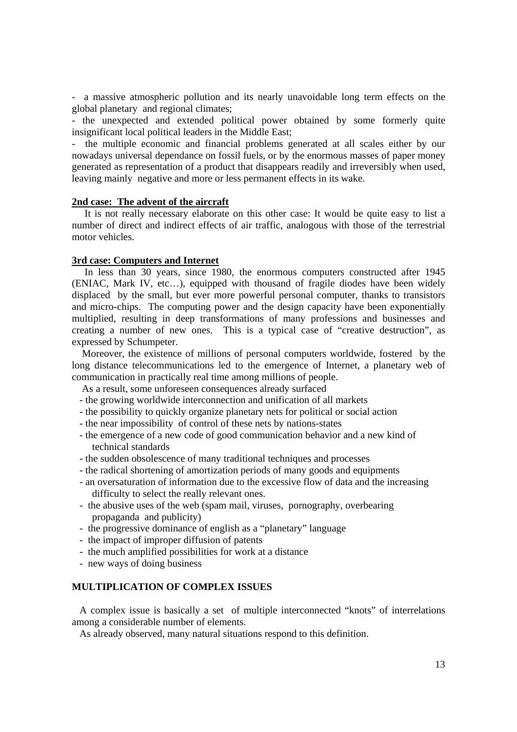- a massive atmospheric pollution and its nearly unavoidable long term effects on the global planetary and regional climates;

- the unexpected and extended political power obtained by some formerly quite insignificant local political leaders in the Middle East;

- the multiple economic and financial problems generated at all scales either by our nowadays universal dependance on fossil fuels, or by the enormous masses of paper money generated as representation of a product that disappears readily and irreversibly when used, leaving mainly negative and more or less permanent effects in its wake.

## **2nd case: The advent of the aircraft**

 It is not really necessary elaborate on this other case: It would be quite easy to list a number of direct and indirect effects of air traffic, analogous with those of the terrestrial motor vehicles.

## **3rd case: Computers and Internet**

 In less than 30 years, since 1980, the enormous computers constructed after 1945 (ENIAC, Mark IV, etc…), equipped with thousand of fragile diodes have been widely displaced by the small, but ever more powerful personal computer, thanks to transistors and micro-chips. The computing power and the design capacity have been exponentially multiplied, resulting in deep transformations of many professions and businesses and creating a number of new ones. This is a typical case of "creative destruction", as expressed by Schumpeter.

 Moreover, the existence of millions of personal computers worldwide, fostered by the long distance telecommunications led to the emergence of Internet, a planetary web of communication in practically real time among millions of people.

As a result, some unforeseen consequences already surfaced

- the growing worldwide interconnection and unification of all markets
- the possibility to quickly organize planetary nets for political or social action
- the near impossibility of control of these nets by nations-states
- the emergence of a new code of good communication behavior and a new kind of technical standards
- the sudden obsolescence of many traditional techniques and processes
- the radical shortening of amortization periods of many goods and equipments
- an oversaturation of information due to the excessive flow of data and the increasing difficulty to select the really relevant ones.
- the abusive uses of the web (spam mail, viruses, pornography, overbearing propaganda and publicity)
- the progressive dominance of english as a "planetary" language
- the impact of improper diffusion of patents
- the much amplified possibilities for work at a distance
- new ways of doing business

# **MULTIPLICATION OF COMPLEX ISSUES**

 A complex issue is basically a set of multiple interconnected "knots" of interrelations among a considerable number of elements.

As already observed, many natural situations respond to this definition.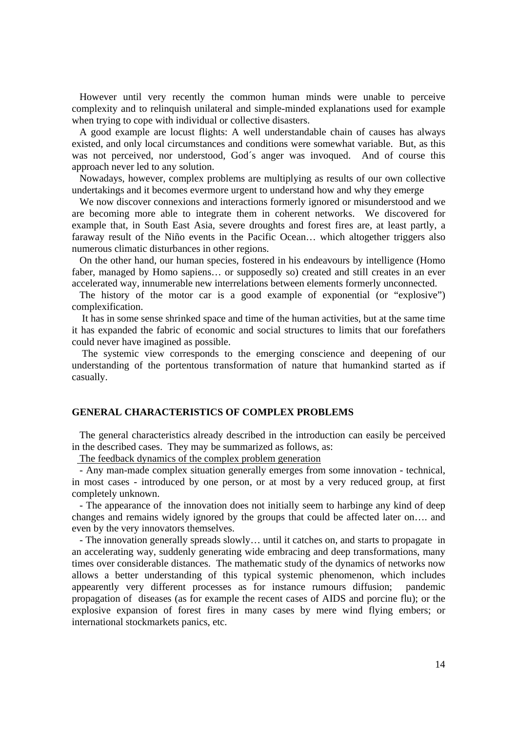However until very recently the common human minds were unable to perceive complexity and to relinquish unilateral and simple-minded explanations used for example when trying to cope with individual or collective disasters.

 A good example are locust flights: A well understandable chain of causes has always existed, and only local circumstances and conditions were somewhat variable. But, as this was not perceived, nor understood, God´s anger was invoqued. And of course this approach never led to any solution.

 Nowadays, however, complex problems are multiplying as results of our own collective undertakings and it becomes evermore urgent to understand how and why they emerge

 We now discover connexions and interactions formerly ignored or misunderstood and we are becoming more able to integrate them in coherent networks. We discovered for example that, in South East Asia, severe droughts and forest fires are, at least partly, a faraway result of the Niño events in the Pacific Ocean… which altogether triggers also numerous climatic disturbances in other regions.

 On the other hand, our human species, fostered in his endeavours by intelligence (Homo faber, managed by Homo sapiens… or supposedly so) created and still creates in an ever accelerated way, innumerable new interrelations between elements formerly unconnected.

 The history of the motor car is a good example of exponential (or "explosive") complexification.

 It has in some sense shrinked space and time of the human activities, but at the same time it has expanded the fabric of economic and social structures to limits that our forefathers could never have imagined as possible.

 The systemic view corresponds to the emerging conscience and deepening of our understanding of the portentous transformation of nature that humankind started as if casually.

# **GENERAL CHARACTERISTICS OF COMPLEX PROBLEMS**

 The general characteristics already described in the introduction can easily be perceived in the described cases. They may be summarized as follows, as:

The feedback dynamics of the complex problem generation

 - Any man-made complex situation generally emerges from some innovation - technical, in most cases - introduced by one person, or at most by a very reduced group, at first completely unknown.

 - The appearance of the innovation does not initially seem to harbinge any kind of deep changes and remains widely ignored by the groups that could be affected later on…. and even by the very innovators themselves.

 - The innovation generally spreads slowly… until it catches on, and starts to propagate in an accelerating way, suddenly generating wide embracing and deep transformations, many times over considerable distances. The mathematic study of the dynamics of networks now allows a better understanding of this typical systemic phenomenon, which includes appearently very different processes as for instance rumours diffusion; pandemic propagation of diseases (as for example the recent cases of AIDS and porcine flu); or the explosive expansion of forest fires in many cases by mere wind flying embers; or international stockmarkets panics, etc.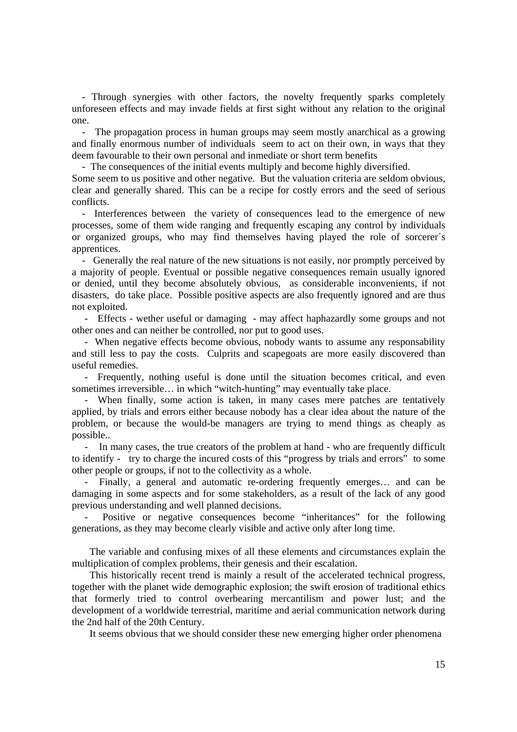- Through synergies with other factors, the novelty frequently sparks completely unforeseen effects and may invade fields at first sight without any relation to the original one.

 - The propagation process in human groups may seem mostly anarchical as a growing and finally enormous number of individuals seem to act on their own, in ways that they deem favourable to their own personal and inmediate or short term benefits

- The consequences of the initial events multiply and become highly diversified.

Some seem to us positive and other negative. But the valuation criteria are seldom obvious, clear and generally shared. This can be a recipe for costly errors and the seed of serious conflicts.

 - Interferences between the variety of consequences lead to the emergence of new processes, some of them wide ranging and frequently escaping any control by individuals or organized groups, who may find themselves having played the role of sorcerer´s apprentices.

 - Generally the real nature of the new situations is not easily, nor promptly perceived by a majority of people. Eventual or possible negative consequences remain usually ignored or denied, until they become absolutely obvious, as considerable inconvenients, if not disasters, do take place. Possible positive aspects are also frequently ignored and are thus not exploited.

 - Effects - wether useful or damaging - may affect haphazardly some groups and not other ones and can neither be controlled, nor put to good uses.

 - When negative effects become obvious, nobody wants to assume any responsability and still less to pay the costs. Culprits and scapegoats are more easily discovered than useful remedies.

 - Frequently, nothing useful is done until the situation becomes critical, and even sometimes irreversible… in which "witch-hunting" may eventually take place.

 - When finally, some action is taken, in many cases mere patches are tentatively applied, by trials and errors either because nobody has a clear idea about the nature of the problem, or because the would-be managers are trying to mend things as cheaply as possible..

In many cases, the true creators of the problem at hand - who are frequently difficult to identify - try to charge the incured costs of this "progress by trials and errors" to some other people or groups, if not to the collectivity as a whole.

 - Finally, a general and automatic re-ordering frequently emerges… and can be damaging in some aspects and for some stakeholders, as a result of the lack of any good previous understanding and well planned decisions.

Positive or negative consequences become "inheritances" for the following generations, as they may become clearly visible and active only after long time.

 The variable and confusing mixes of all these elements and circumstances explain the multiplication of complex problems, their genesis and their escalation.

 This historically recent trend is mainly a result of the accelerated technical progress, together with the planet wide demographic explosion; the swift erosion of traditional ethics that formerly tried to control overbearing mercantilism and power lust; and the development of a worldwide terrestrial, maritime and aerial communication network during the 2nd half of the 20th Century.

It seems obvious that we should consider these new emerging higher order phenomena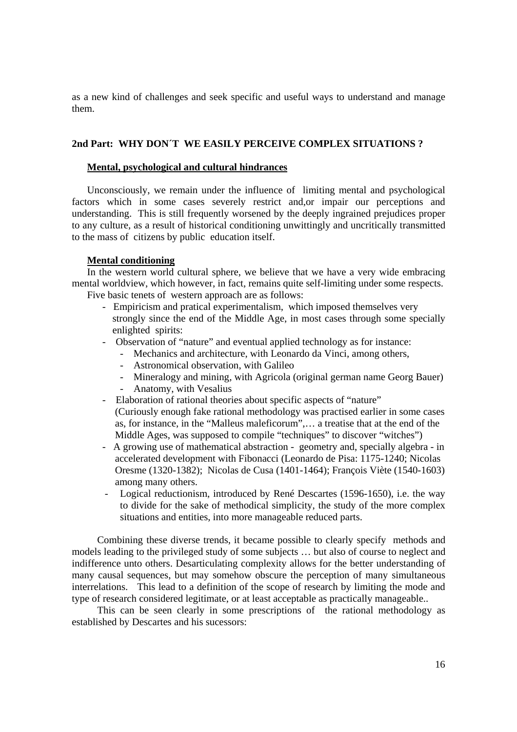as a new kind of challenges and seek specific and useful ways to understand and manage them.

# **2nd Part: WHY DON´T WE EASILY PERCEIVE COMPLEX SITUATIONS ?**

# **Mental, psychological and cultural hindrances**

 Unconsciously, we remain under the influence of limiting mental and psychological factors which in some cases severely restrict and,or impair our perceptions and understanding. This is still frequently worsened by the deeply ingrained prejudices proper to any culture, as a result of historical conditioning unwittingly and uncritically transmitted to the mass of citizens by public education itself.

# **Mental conditioning**

 In the western world cultural sphere, we believe that we have a very wide embracing mental worldview, which however, in fact, remains quite self-limiting under some respects. Five basic tenets of western approach are as follows:

- Empiricism and pratical experimentalism, which imposed themselves very strongly since the end of the Middle Age, in most cases through some specially enlighted spirits:
- Observation of "nature" and eventual applied technology as for instance:
	- Mechanics and architecture, with Leonardo da Vinci, among others,
	- Astronomical observation, with Galileo
	- Mineralogy and mining, with Agricola (original german name Georg Bauer)
	- Anatomy, with Vesalius
- Elaboration of rational theories about specific aspects of "nature"
- (Curiously enough fake rational methodology was practised earlier in some cases as, for instance, in the "Malleus maleficorum",… a treatise that at the end of the Middle Ages, was supposed to compile "techniques" to discover "witches")
- A growing use of mathematical abstraction geometry and, specially algebra in accelerated development with Fibonacci (Leonardo de Pisa: 1175-1240; Nicolas Oresme (1320-1382); Nicolas de Cusa (1401-1464); François Viète (1540-1603) among many others.
- Logical reductionism, introduced by René Descartes (1596-1650), i.e. the way to divide for the sake of methodical simplicity, the study of the more complex situations and entities, into more manageable reduced parts.

 Combining these diverse trends, it became possible to clearly specify methods and models leading to the privileged study of some subjects … but also of course to neglect and indifference unto others. Desarticulating complexity allows for the better understanding of many causal sequences, but may somehow obscure the perception of many simultaneous interrelations. This lead to a definition of the scope of research by limiting the mode and type of research considered legitimate, or at least acceptable as practically manageable..

 This can be seen clearly in some prescriptions of the rational methodology as established by Descartes and his sucessors: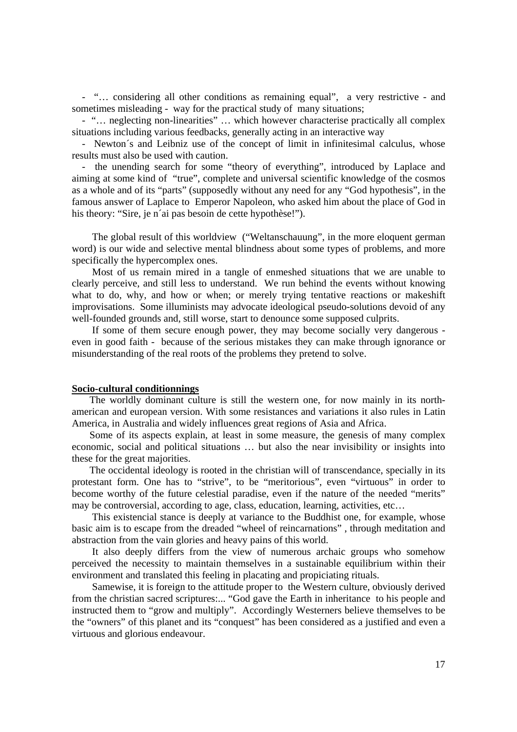- "… considering all other conditions as remaining equal", a very restrictive - and sometimes misleading - way for the practical study of many situations;

 - "… neglecting non-linearities" … which however characterise practically all complex situations including various feedbacks, generally acting in an interactive way

 - Newton´s and Leibniz use of the concept of limit in infinitesimal calculus, whose results must also be used with caution.

 - the unending search for some "theory of everything", introduced by Laplace and aiming at some kind of "true", complete and universal scientific knowledge of the cosmos as a whole and of its "parts" (supposedly without any need for any "God hypothesis", in the famous answer of Laplace to Emperor Napoleon, who asked him about the place of God in his theory: "Sire, je n´ai pas besoin de cette hypothèse!").

 The global result of this worldview ("Weltanschauung", in the more eloquent german word) is our wide and selective mental blindness about some types of problems, and more specifically the hypercomplex ones.

 Most of us remain mired in a tangle of enmeshed situations that we are unable to clearly perceive, and still less to understand. We run behind the events without knowing what to do, why, and how or when; or merely trying tentative reactions or makeshift improvisations. Some illuminists may advocate ideological pseudo-solutions devoid of any well-founded grounds and, still worse, start to denounce some supposed culprits.

 If some of them secure enough power, they may become socially very dangerous even in good faith - because of the serious mistakes they can make through ignorance or misunderstanding of the real roots of the problems they pretend to solve.

#### **Socio-cultural conditionnings**

 The worldly dominant culture is still the western one, for now mainly in its northamerican and european version. With some resistances and variations it also rules in Latin America, in Australia and widely influences great regions of Asia and Africa.

 Some of its aspects explain, at least in some measure, the genesis of many complex economic, social and political situations … but also the near invisibility or insights into these for the great majorities.

 The occidental ideology is rooted in the christian will of transcendance, specially in its protestant form. One has to "strive", to be "meritorious", even "virtuous" in order to become worthy of the future celestial paradise, even if the nature of the needed "merits" may be controversial, according to age, class, education, learning, activities, etc…

 This existencial stance is deeply at variance to the Buddhist one, for example, whose basic aim is to escape from the dreaded "wheel of reincarnations" , through meditation and abstraction from the vain glories and heavy pains of this world.

 It also deeply differs from the view of numerous archaic groups who somehow perceived the necessity to maintain themselves in a sustainable equilibrium within their environment and translated this feeling in placating and propiciating rituals.

 Samewise, it is foreign to the attitude proper to the Western culture, obviously derived from the christian sacred scriptures:... "God gave the Earth in inheritance to his people and instructed them to "grow and multiply". Accordingly Westerners believe themselves to be the "owners" of this planet and its "conquest" has been considered as a justified and even a virtuous and glorious endeavour.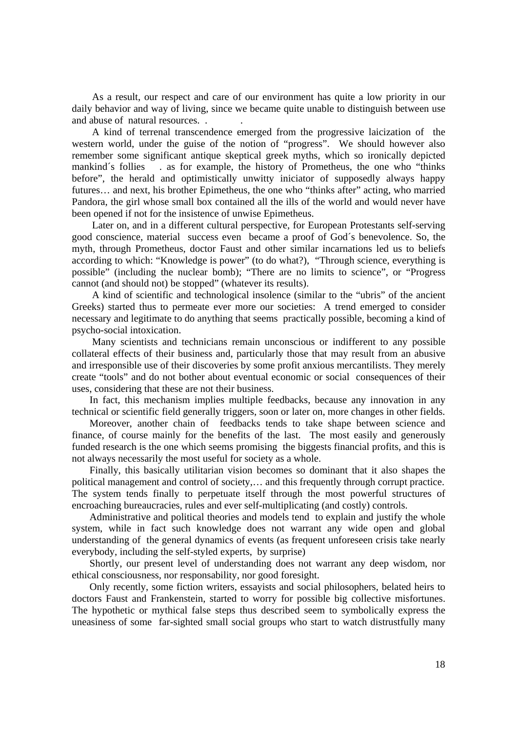As a result, our respect and care of our environment has quite a low priority in our daily behavior and way of living, since we became quite unable to distinguish between use and abuse of natural resources. . .

 A kind of terrenal transcendence emerged from the progressive laicization of the western world, under the guise of the notion of "progress". We should however also remember some significant antique skeptical greek myths, which so ironically depicted mankind´s follies . as for example, the history of Prometheus, the one who "thinks before", the herald and optimistically unwitty iniciator of supposedly always happy futures… and next, his brother Epimetheus, the one who "thinks after" acting, who married Pandora, the girl whose small box contained all the ills of the world and would never have been opened if not for the insistence of unwise Epimetheus.

 Later on, and in a different cultural perspective, for European Protestants self-serving good conscience, material success even became a proof of God´s benevolence. So, the myth, through Prometheus, doctor Faust and other similar incarnations led us to beliefs according to which: "Knowledge is power" (to do what?), "Through science, everything is possible" (including the nuclear bomb); "There are no limits to science", or "Progress cannot (and should not) be stopped" (whatever its results).

 A kind of scientific and technological insolence (similar to the "ubris" of the ancient Greeks) started thus to permeate ever more our societies: A trend emerged to consider necessary and legitimate to do anything that seems practically possible, becoming a kind of psycho-social intoxication.

 Many scientists and technicians remain unconscious or indifferent to any possible collateral effects of their business and, particularly those that may result from an abusive and irresponsible use of their discoveries by some profit anxious mercantilists. They merely create "tools" and do not bother about eventual economic or social consequences of their uses, considering that these are not their business.

 In fact, this mechanism implies multiple feedbacks, because any innovation in any technical or scientific field generally triggers, soon or later on, more changes in other fields.

 Moreover, another chain of feedbacks tends to take shape between science and finance, of course mainly for the benefits of the last. The most easily and generously funded research is the one which seems promising the biggests financial profits, and this is not always necessarily the most useful for society as a whole.

 Finally, this basically utilitarian vision becomes so dominant that it also shapes the political management and control of society,… and this frequently through corrupt practice. The system tends finally to perpetuate itself through the most powerful structures of encroaching bureaucracies, rules and ever self-multiplicating (and costly) controls.

 Administrative and political theories and models tend to explain and justify the whole system, while in fact such knowledge does not warrant any wide open and global understanding of the general dynamics of events (as frequent unforeseen crisis take nearly everybody, including the self-styled experts, by surprise)

 Shortly, our present level of understanding does not warrant any deep wisdom, nor ethical consciousness, nor responsability, nor good foresight.

 Only recently, some fiction writers, essayists and social philosophers, belated heirs to doctors Faust and Frankenstein, started to worry for possible big collective misfortunes. The hypothetic or mythical false steps thus described seem to symbolically express the uneasiness of some far-sighted small social groups who start to watch distrustfully many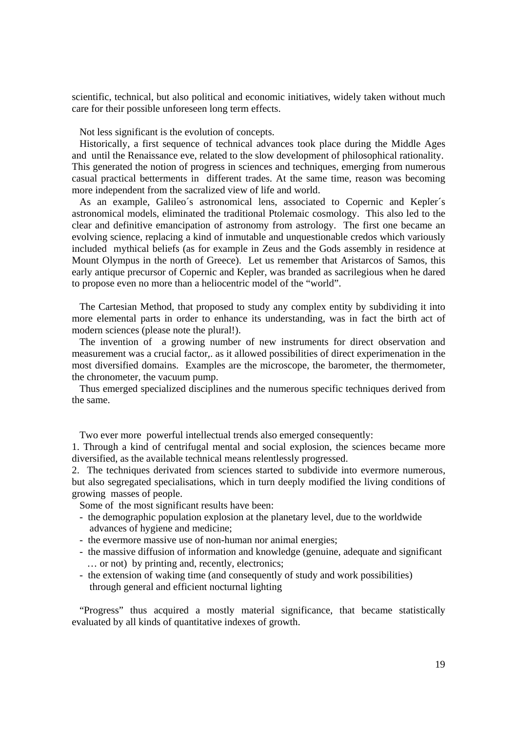scientific, technical, but also political and economic initiatives, widely taken without much care for their possible unforeseen long term effects.

Not less significant is the evolution of concepts.

 Historically, a first sequence of technical advances took place during the Middle Ages and until the Renaissance eve, related to the slow development of philosophical rationality. This generated the notion of progress in sciences and techniques, emerging from numerous casual practical betterments in different trades. At the same time, reason was becoming more independent from the sacralized view of life and world.

 As an example, Galileo´s astronomical lens, associated to Copernic and Kepler´s astronomical models, eliminated the traditional Ptolemaic cosmology. This also led to the clear and definitive emancipation of astronomy from astrology. The first one became an evolving science, replacing a kind of inmutable and unquestionable credos which variously included mythical beliefs (as for example in Zeus and the Gods assembly in residence at Mount Olympus in the north of Greece). Let us remember that Aristarcos of Samos, this early antique precursor of Copernic and Kepler, was branded as sacrilegious when he dared to propose even no more than a heliocentric model of the "world".

 The Cartesian Method, that proposed to study any complex entity by subdividing it into more elemental parts in order to enhance its understanding, was in fact the birth act of modern sciences (please note the plural!).

 The invention of a growing number of new instruments for direct observation and measurement was a crucial factor,. as it allowed possibilities of direct experimenation in the most diversified domains. Examples are the microscope, the barometer, the thermometer, the chronometer, the vacuum pump.

 Thus emerged specialized disciplines and the numerous specific techniques derived from the same.

Two ever more powerful intellectual trends also emerged consequently:

1. Through a kind of centrifugal mental and social explosion, the sciences became more diversified, as the available technical means relentlessly progressed.

2. The techniques derivated from sciences started to subdivide into evermore numerous, but also segregated specialisations, which in turn deeply modified the living conditions of growing masses of people.

Some of the most significant results have been:

- the demographic population explosion at the planetary level, due to the worldwide advances of hygiene and medicine;
- the evermore massive use of non-human nor animal energies;
- the massive diffusion of information and knowledge (genuine, adequate and significant … or not) by printing and, recently, electronics;
- the extension of waking time (and consequently of study and work possibilities) through general and efficient nocturnal lighting

 "Progress" thus acquired a mostly material significance, that became statistically evaluated by all kinds of quantitative indexes of growth.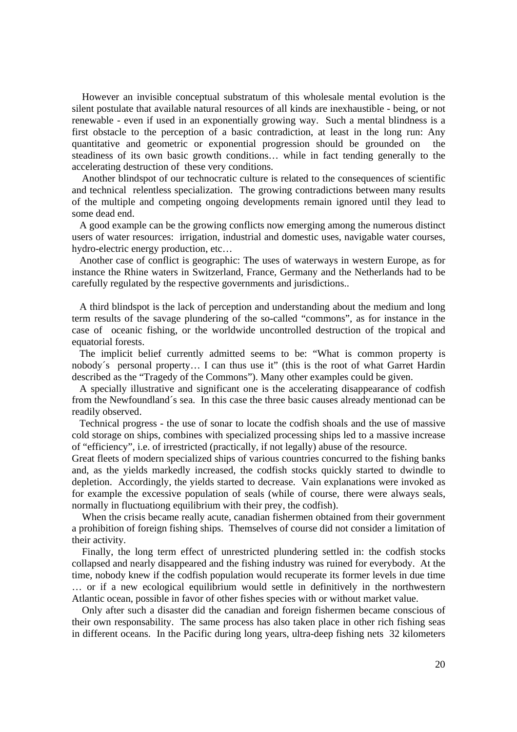However an invisible conceptual substratum of this wholesale mental evolution is the silent postulate that available natural resources of all kinds are inexhaustible - being, or not renewable - even if used in an exponentially growing way. Such a mental blindness is a first obstacle to the perception of a basic contradiction, at least in the long run: Any quantitative and geometric or exponential progression should be grounded on the steadiness of its own basic growth conditions… while in fact tending generally to the accelerating destruction of these very conditions.

 Another blindspot of our technocratic culture is related to the consequences of scientific and technical relentless specialization. The growing contradictions between many results of the multiple and competing ongoing developments remain ignored until they lead to some dead end.

 A good example can be the growing conflicts now emerging among the numerous distinct users of water resources: irrigation, industrial and domestic uses, navigable water courses, hydro-electric energy production, etc…

 Another case of conflict is geographic: The uses of waterways in western Europe, as for instance the Rhine waters in Switzerland, France, Germany and the Netherlands had to be carefully regulated by the respective governments and jurisdictions..

 A third blindspot is the lack of perception and understanding about the medium and long term results of the savage plundering of the so-called "commons", as for instance in the case of oceanic fishing, or the worldwide uncontrolled destruction of the tropical and equatorial forests.

 The implicit belief currently admitted seems to be: "What is common property is nobody´s personal property… I can thus use it" (this is the root of what Garret Hardin described as the "Tragedy of the Commons"). Many other examples could be given.

 A specially illustrative and significant one is the accelerating disappearance of codfish from the Newfoundland´s sea. In this case the three basic causes already mentionad can be readily observed.

 Technical progress - the use of sonar to locate the codfish shoals and the use of massive cold storage on ships, combines with specialized processing ships led to a massive increase of "efficiency", i.e. of irrestricted (practically, if not legally) abuse of the resource.

Great fleets of modern specialized ships of various countries concurred to the fishing banks and, as the yields markedly increased, the codfish stocks quickly started to dwindle to depletion. Accordingly, the yields started to decrease. Vain explanations were invoked as for example the excessive population of seals (while of course, there were always seals, normally in fluctuationg equilibrium with their prey, the codfish).

 When the crisis became really acute, canadian fishermen obtained from their government a prohibition of foreign fishing ships. Themselves of course did not consider a limitation of their activity.

 Finally, the long term effect of unrestricted plundering settled in: the codfish stocks collapsed and nearly disappeared and the fishing industry was ruined for everybody. At the time, nobody knew if the codfish population would recuperate its former levels in due time … or if a new ecological equilibrium would settle in definitively in the northwestern Atlantic ocean, possible in favor of other fishes species with or without market value.

 Only after such a disaster did the canadian and foreign fishermen became conscious of their own responsability. The same process has also taken place in other rich fishing seas in different oceans. In the Pacific during long years, ultra-deep fishing nets 32 kilometers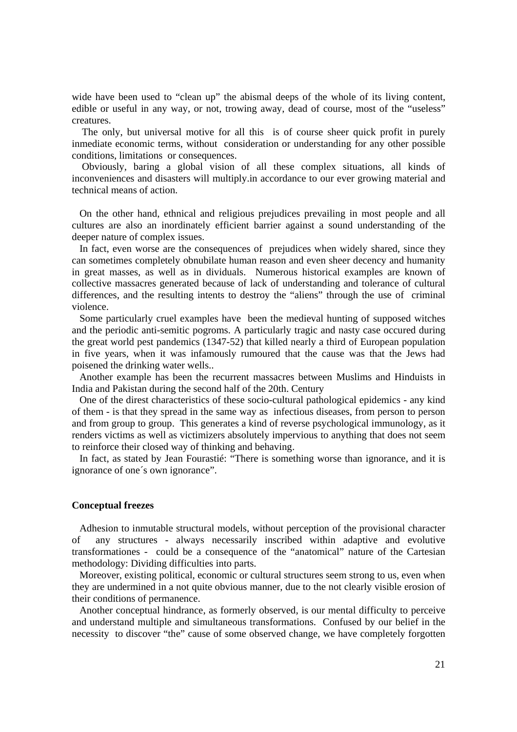wide have been used to "clean up" the abismal deeps of the whole of its living content, edible or useful in any way, or not, trowing away, dead of course, most of the "useless" creatures.

 The only, but universal motive for all this is of course sheer quick profit in purely inmediate economic terms, without consideration or understanding for any other possible conditions, limitations or consequences.

 Obviously, baring a global vision of all these complex situations, all kinds of inconveniences and disasters will multiply.in accordance to our ever growing material and technical means of action.

 On the other hand, ethnical and religious prejudices prevailing in most people and all cultures are also an inordinately efficient barrier against a sound understanding of the deeper nature of complex issues.

 In fact, even worse are the consequences of prejudices when widely shared, since they can sometimes completely obnubilate human reason and even sheer decency and humanity in great masses, as well as in dividuals. Numerous historical examples are known of collective massacres generated because of lack of understanding and tolerance of cultural differences, and the resulting intents to destroy the "aliens" through the use of criminal violence.

 Some particularly cruel examples have been the medieval hunting of supposed witches and the periodic anti-semitic pogroms. A particularly tragic and nasty case occured during the great world pest pandemics (1347-52) that killed nearly a third of European population in five years, when it was infamously rumoured that the cause was that the Jews had poisened the drinking water wells..

 Another example has been the recurrent massacres between Muslims and Hinduists in India and Pakistan during the second half of the 20th. Century

 One of the direst characteristics of these socio-cultural pathological epidemics - any kind of them - is that they spread in the same way as infectious diseases, from person to person and from group to group. This generates a kind of reverse psychological immunology, as it renders victims as well as victimizers absolutely impervious to anything that does not seem to reinforce their closed way of thinking and behaving.

 In fact, as stated by Jean Fourastié: "There is something worse than ignorance, and it is ignorance of one´s own ignorance".

## **Conceptual freezes**

 Adhesion to inmutable structural models, without perception of the provisional character of any structures - always necessarily inscribed within adaptive and evolutive transformationes - could be a consequence of the "anatomical" nature of the Cartesian methodology: Dividing difficulties into parts.

 Moreover, existing political, economic or cultural structures seem strong to us, even when they are undermined in a not quite obvious manner, due to the not clearly visible erosion of their conditions of permanence.

 Another conceptual hindrance, as formerly observed, is our mental difficulty to perceive and understand multiple and simultaneous transformations. Confused by our belief in the necessity to discover "the" cause of some observed change, we have completely forgotten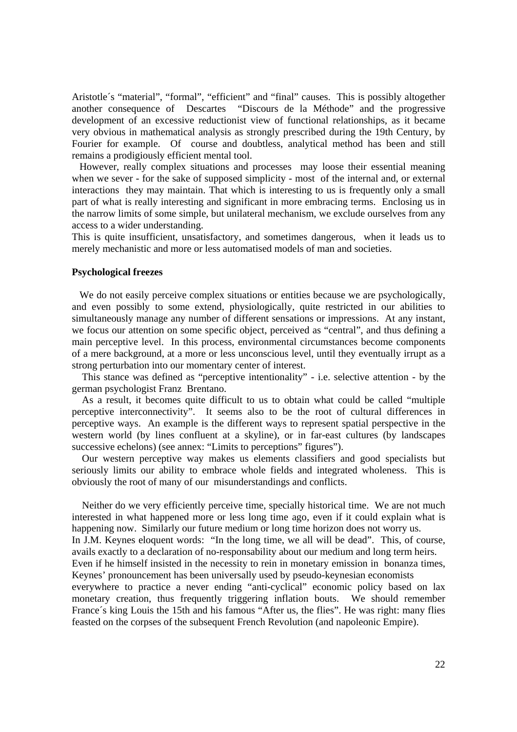Aristotle´s "material", "formal", "efficient" and "final" causes. This is possibly altogether another consequence of Descartes "Discours de la Méthode" and the progressive development of an excessive reductionist view of functional relationships, as it became very obvious in mathematical analysis as strongly prescribed during the 19th Century, by Fourier for example. Of course and doubtless, analytical method has been and still remains a prodigiously efficient mental tool.

 However, really complex situations and processes may loose their essential meaning when we sever - for the sake of supposed simplicity - most of the internal and, or external interactions they may maintain. That which is interesting to us is frequently only a small part of what is really interesting and significant in more embracing terms. Enclosing us in the narrow limits of some simple, but unilateral mechanism, we exclude ourselves from any access to a wider understanding.

This is quite insufficient, unsatisfactory, and sometimes dangerous, when it leads us to merely mechanistic and more or less automatised models of man and societies.

# **Psychological freezes**

We do not easily perceive complex situations or entities because we are psychologically, and even possibly to some extend, physiologically, quite restricted in our abilities to simultaneously manage any number of different sensations or impressions. At any instant, we focus our attention on some specific object, perceived as "central", and thus defining a main perceptive level. In this process, environmental circumstances become components of a mere background, at a more or less unconscious level, until they eventually irrupt as a strong perturbation into our momentary center of interest.

 This stance was defined as "perceptive intentionality" - i.e. selective attention - by the german psychologist Franz Brentano.

 As a result, it becomes quite difficult to us to obtain what could be called "multiple perceptive interconnectivity". It seems also to be the root of cultural differences in perceptive ways. An example is the different ways to represent spatial perspective in the western world (by lines confluent at a skyline), or in far-east cultures (by landscapes successive echelons) (see annex: "Limits to perceptions" figures").

 Our western perceptive way makes us elements classifiers and good specialists but seriously limits our ability to embrace whole fields and integrated wholeness. This is obviously the root of many of our misunderstandings and conflicts.

 Neither do we very efficiently perceive time, specially historical time. We are not much interested in what happened more or less long time ago, even if it could explain what is happening now. Similarly our future medium or long time horizon does not worry us.

In J.M. Keynes eloquent words: "In the long time, we all will be dead". This, of course, avails exactly to a declaration of no-responsability about our medium and long term heirs.

Even if he himself insisted in the necessity to rein in monetary emission in bonanza times, Keynes' pronouncement has been universally used by pseudo-keynesian economists

everywhere to practice a never ending "anti-cyclical" economic policy based on lax monetary creation, thus frequently triggering inflation bouts. We should remember France´s king Louis the 15th and his famous "After us, the flies". He was right: many flies feasted on the corpses of the subsequent French Revolution (and napoleonic Empire).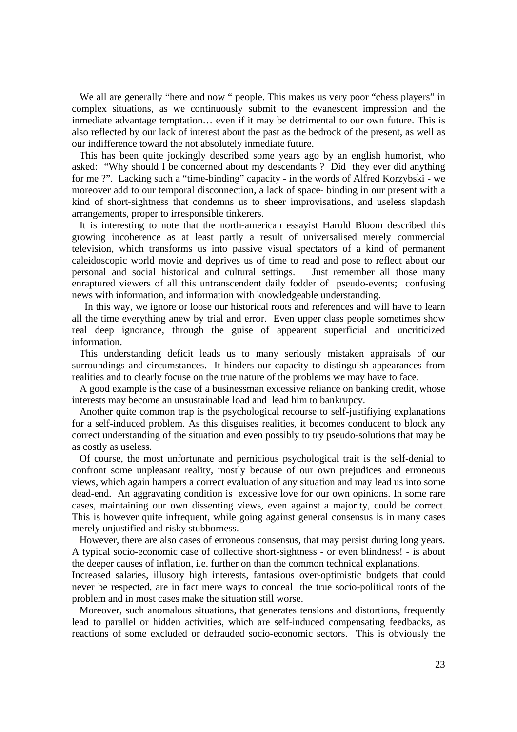We all are generally "here and now " people. This makes us very poor "chess players" in complex situations, as we continuously submit to the evanescent impression and the inmediate advantage temptation… even if it may be detrimental to our own future. This is also reflected by our lack of interest about the past as the bedrock of the present, as well as our indifference toward the not absolutely inmediate future.

 This has been quite jockingly described some years ago by an english humorist, who asked: "Why should I be concerned about my descendants ? Did they ever did anything for me ?". Lacking such a "time-binding" capacity - in the words of Alfred Korzybski - we moreover add to our temporal disconnection, a lack of space- binding in our present with a kind of short-sightness that condemns us to sheer improvisations, and useless slapdash arrangements, proper to irresponsible tinkerers.

 It is interesting to note that the north-american essayist Harold Bloom described this growing incoherence as at least partly a result of universalised merely commercial television, which transforms us into passive visual spectators of a kind of permanent caleidoscopic world movie and deprives us of time to read and pose to reflect about our personal and social historical and cultural settings. Just remember all those many enraptured viewers of all this untranscendent daily fodder of pseudo-events; confusing news with information, and information with knowledgeable understanding.

 In this way, we ignore or loose our historical roots and references and will have to learn all the time everything anew by trial and error. Even upper class people sometimes show real deep ignorance, through the guise of appearent superficial and uncriticized information.

 This understanding deficit leads us to many seriously mistaken appraisals of our surroundings and circumstances. It hinders our capacity to distinguish appearances from realities and to clearly focuse on the true nature of the problems we may have to face.

 A good example is the case of a businessman excessive reliance on banking credit, whose interests may become an unsustainable load and lead him to bankrupcy.

 Another quite common trap is the psychological recourse to self-justifiying explanations for a self-induced problem. As this disguises realities, it becomes conducent to block any correct understanding of the situation and even possibly to try pseudo-solutions that may be as costly as useless.

 Of course, the most unfortunate and pernicious psychological trait is the self-denial to confront some unpleasant reality, mostly because of our own prejudices and erroneous views, which again hampers a correct evaluation of any situation and may lead us into some dead-end. An aggravating condition is excessive love for our own opinions. In some rare cases, maintaining our own dissenting views, even against a majority, could be correct. This is however quite infrequent, while going against general consensus is in many cases merely unjustified and risky stubborness.

 However, there are also cases of erroneous consensus, that may persist during long years. A typical socio-economic case of collective short-sightness - or even blindness! - is about the deeper causes of inflation, i.e. further on than the common technical explanations.

Increased salaries, illusory high interests, fantasious over-optimistic budgets that could never be respected, are in fact mere ways to conceal the true socio-political roots of the problem and in most cases make the situation still worse.

 Moreover, such anomalous situations, that generates tensions and distortions, frequently lead to parallel or hidden activities, which are self-induced compensating feedbacks, as reactions of some excluded or defrauded socio-economic sectors. This is obviously the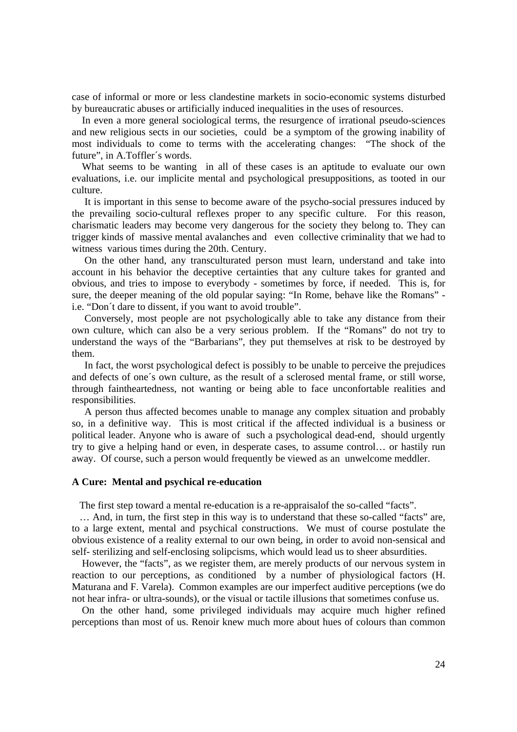case of informal or more or less clandestine markets in socio-economic systems disturbed by bureaucratic abuses or artificially induced inequalities in the uses of resources.

 In even a more general sociological terms, the resurgence of irrational pseudo-sciences and new religious sects in our societies, could be a symptom of the growing inability of most individuals to come to terms with the accelerating changes: "The shock of the future", in A.Toffler´s words.

What seems to be wanting in all of these cases is an aptitude to evaluate our own evaluations, i.e. our implicite mental and psychological presuppositions, as tooted in our culture.

 It is important in this sense to become aware of the psycho-social pressures induced by the prevailing socio-cultural reflexes proper to any specific culture. For this reason, charismatic leaders may become very dangerous for the society they belong to. They can trigger kinds of massive mental avalanches and even collective criminality that we had to witness various times during the 20th. Century.

 On the other hand, any transculturated person must learn, understand and take into account in his behavior the deceptive certainties that any culture takes for granted and obvious, and tries to impose to everybody - sometimes by force, if needed. This is, for sure, the deeper meaning of the old popular saying: "In Rome, behave like the Romans" i.e. "Don´t dare to dissent, if you want to avoid trouble".

 Conversely, most people are not psychologically able to take any distance from their own culture, which can also be a very serious problem. If the "Romans" do not try to understand the ways of the "Barbarians", they put themselves at risk to be destroyed by them.

 In fact, the worst psychological defect is possibly to be unable to perceive the prejudices and defects of one´s own culture, as the result of a sclerosed mental frame, or still worse, through faintheartedness, not wanting or being able to face unconfortable realities and responsibilities.

 A person thus affected becomes unable to manage any complex situation and probably so, in a definitive way. This is most critical if the affected individual is a business or political leader. Anyone who is aware of such a psychological dead-end, should urgently try to give a helping hand or even, in desperate cases, to assume control… or hastily run away. Of course, such a person would frequently be viewed as an unwelcome meddler.

### **A Cure: Mental and psychical re-education**

The first step toward a mental re-education is a re-appraisalof the so-called "facts".

 … And, in turn, the first step in this way is to understand that these so-called "facts" are, to a large extent, mental and psychical constructions. We must of course postulate the obvious existence of a reality external to our own being, in order to avoid non-sensical and self- sterilizing and self-enclosing solipcisms, which would lead us to sheer absurdities.

 However, the "facts", as we register them, are merely products of our nervous system in reaction to our perceptions, as conditioned by a number of physiological factors (H. Maturana and F. Varela). Common examples are our imperfect auditive perceptions (we do not hear infra- or ultra-sounds), or the visual or tactile illusions that sometimes confuse us.

 On the other hand, some privileged individuals may acquire much higher refined perceptions than most of us. Renoir knew much more about hues of colours than common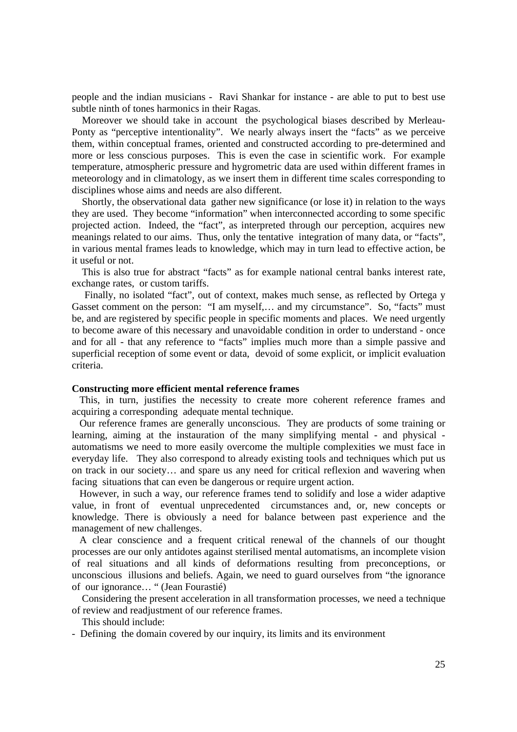people and the indian musicians - Ravi Shankar for instance - are able to put to best use subtle ninth of tones harmonics in their Ragas.

 Moreover we should take in account the psychological biases described by Merleau-Ponty as "perceptive intentionality". We nearly always insert the "facts" as we perceive them, within conceptual frames, oriented and constructed according to pre-determined and more or less conscious purposes. This is even the case in scientific work. For example temperature, atmospheric pressure and hygrometric data are used within different frames in meteorology and in climatology, as we insert them in different time scales corresponding to disciplines whose aims and needs are also different.

 Shortly, the observational data gather new significance (or lose it) in relation to the ways they are used. They become "information" when interconnected according to some specific projected action. Indeed, the "fact", as interpreted through our perception, acquires new meanings related to our aims. Thus, only the tentative integration of many data, or "facts", in various mental frames leads to knowledge, which may in turn lead to effective action, be it useful or not.

 This is also true for abstract "facts" as for example national central banks interest rate, exchange rates, or custom tariffs.

 Finally, no isolated "fact", out of context, makes much sense, as reflected by Ortega y Gasset comment on the person: "I am myself,… and my circumstance". So, "facts" must be, and are registered by specific people in specific moments and places. We need urgently to become aware of this necessary and unavoidable condition in order to understand - once and for all - that any reference to "facts" implies much more than a simple passive and superficial reception of some event or data, devoid of some explicit, or implicit evaluation criteria.

# **Constructing more efficient mental reference frames**

 This, in turn, justifies the necessity to create more coherent reference frames and acquiring a corresponding adequate mental technique.

 Our reference frames are generally unconscious. They are products of some training or learning, aiming at the instauration of the many simplifying mental - and physical automatisms we need to more easily overcome the multiple complexities we must face in everyday life. They also correspond to already existing tools and techniques which put us on track in our society… and spare us any need for critical reflexion and wavering when facing situations that can even be dangerous or require urgent action.

 However, in such a way, our reference frames tend to solidify and lose a wider adaptive value, in front of eventual unprecedented circumstances and, or, new concepts or knowledge. There is obviously a need for balance between past experience and the management of new challenges.

 A clear conscience and a frequent critical renewal of the channels of our thought processes are our only antidotes against sterilised mental automatisms, an incomplete vision of real situations and all kinds of deformations resulting from preconceptions, or unconscious illusions and beliefs. Again, we need to guard ourselves from "the ignorance of our ignorance… " (Jean Fourastié)

 Considering the present acceleration in all transformation processes, we need a technique of review and readjustment of our reference frames.

This should include:

- Defining the domain covered by our inquiry, its limits and its environment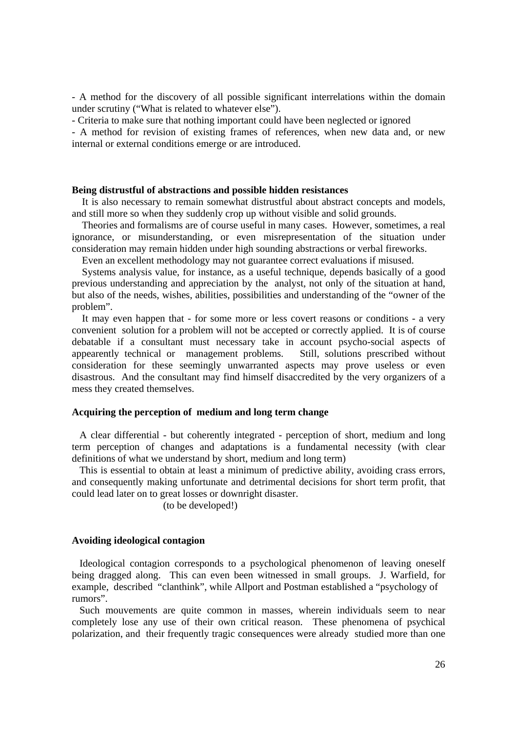- A method for the discovery of all possible significant interrelations within the domain under scrutiny ("What is related to whatever else").

- Criteria to make sure that nothing important could have been neglected or ignored

- A method for revision of existing frames of references, when new data and, or new internal or external conditions emerge or are introduced.

### **Being distrustful of abstractions and possible hidden resistances**

 It is also necessary to remain somewhat distrustful about abstract concepts and models, and still more so when they suddenly crop up without visible and solid grounds.

 Theories and formalisms are of course useful in many cases. However, sometimes, a real ignorance, or misunderstanding, or even misrepresentation of the situation under consideration may remain hidden under high sounding abstractions or verbal fireworks.

Even an excellent methodology may not guarantee correct evaluations if misused.

 Systems analysis value, for instance, as a useful technique, depends basically of a good previous understanding and appreciation by the analyst, not only of the situation at hand, but also of the needs, wishes, abilities, possibilities and understanding of the "owner of the problem".

 It may even happen that - for some more or less covert reasons or conditions - a very convenient solution for a problem will not be accepted or correctly applied. It is of course debatable if a consultant must necessary take in account psycho-social aspects of appearently technical or management problems. Still, solutions prescribed without consideration for these seemingly unwarranted aspects may prove useless or even disastrous. And the consultant may find himself disaccredited by the very organizers of a mess they created themselves.

### **Acquiring the perception of medium and long term change**

 A clear differential - but coherently integrated - perception of short, medium and long term perception of changes and adaptations is a fundamental necessity (with clear definitions of what we understand by short, medium and long term)

 This is essential to obtain at least a minimum of predictive ability, avoiding crass errors, and consequently making unfortunate and detrimental decisions for short term profit, that could lead later on to great losses or downright disaster.

(to be developed!)

# **Avoiding ideological contagion**

 Ideological contagion corresponds to a psychological phenomenon of leaving oneself being dragged along. This can even been witnessed in small groups. J. Warfield, for example, described "clanthink", while Allport and Postman established a "psychology of rumors".

 Such mouvements are quite common in masses, wherein individuals seem to near completely lose any use of their own critical reason. These phenomena of psychical polarization, and their frequently tragic consequences were already studied more than one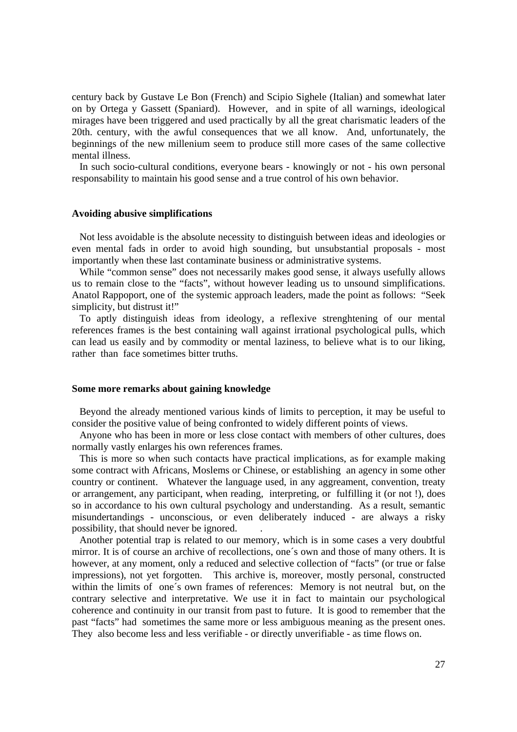century back by Gustave Le Bon (French) and Scipio Sighele (Italian) and somewhat later on by Ortega y Gassett (Spaniard). However, and in spite of all warnings, ideological mirages have been triggered and used practically by all the great charismatic leaders of the 20th. century, with the awful consequences that we all know. And, unfortunately, the beginnings of the new millenium seem to produce still more cases of the same collective mental illness.

 In such socio-cultural conditions, everyone bears - knowingly or not - his own personal responsability to maintain his good sense and a true control of his own behavior.

## **Avoiding abusive simplifications**

 Not less avoidable is the absolute necessity to distinguish between ideas and ideologies or even mental fads in order to avoid high sounding, but unsubstantial proposals - most importantly when these last contaminate business or administrative systems.

 While "common sense" does not necessarily makes good sense, it always usefully allows us to remain close to the "facts", without however leading us to unsound simplifications. Anatol Rappoport, one of the systemic approach leaders, made the point as follows: "Seek simplicity, but distrust it!"

 To aptly distinguish ideas from ideology, a reflexive strenghtening of our mental references frames is the best containing wall against irrational psychological pulls, which can lead us easily and by commodity or mental laziness, to believe what is to our liking, rather than face sometimes bitter truths.

## **Some more remarks about gaining knowledge**

 Beyond the already mentioned various kinds of limits to perception, it may be useful to consider the positive value of being confronted to widely different points of views.

 Anyone who has been in more or less close contact with members of other cultures, does normally vastly enlarges his own references frames.

 This is more so when such contacts have practical implications, as for example making some contract with Africans, Moslems or Chinese, or establishing an agency in some other country or continent. Whatever the language used, in any aggreament, convention, treaty or arrangement, any participant, when reading, interpreting, or fulfilling it (or not !), does so in accordance to his own cultural psychology and understanding. As a result, semantic misundertandings - unconscious, or even deliberately induced - are always a risky possibility, that should never be ignored. .

 Another potential trap is related to our memory, which is in some cases a very doubtful mirror. It is of course an archive of recollections, one´s own and those of many others. It is however, at any moment, only a reduced and selective collection of "facts" (or true or false impressions), not yet forgotten. This archive is, moreover, mostly personal, constructed within the limits of one´s own frames of references: Memory is not neutral but, on the contrary selective and interpretative. We use it in fact to maintain our psychological coherence and continuity in our transit from past to future. It is good to remember that the past "facts" had sometimes the same more or less ambiguous meaning as the present ones. They also become less and less verifiable - or directly unverifiable - as time flows on.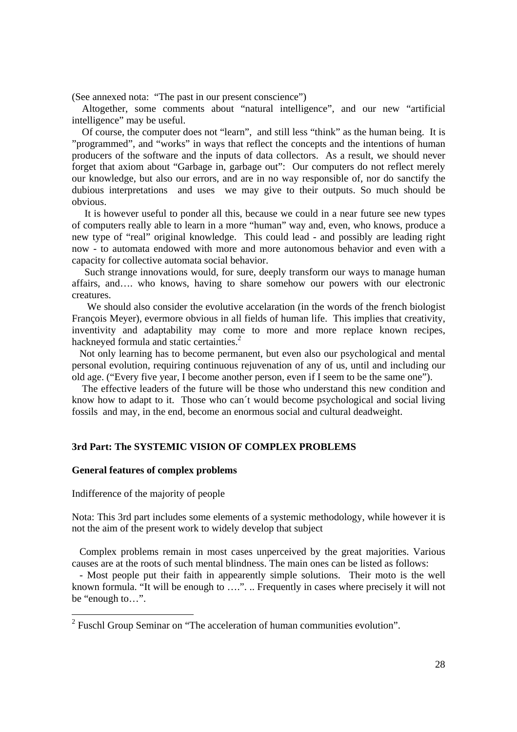(See annexed nota: "The past in our present conscience")

 Altogether, some comments about "natural intelligence", and our new "artificial intelligence" may be useful.

 Of course, the computer does not "learn", and still less "think" as the human being. It is "programmed", and "works" in ways that reflect the concepts and the intentions of human producers of the software and the inputs of data collectors. As a result, we should never forget that axiom about "Garbage in, garbage out": Our computers do not reflect merely our knowledge, but also our errors, and are in no way responsible of, nor do sanctify the dubious interpretations and uses we may give to their outputs. So much should be obvious.

 It is however useful to ponder all this, because we could in a near future see new types of computers really able to learn in a more "human" way and, even, who knows, produce a new type of "real" original knowledge. This could lead - and possibly are leading right now - to automata endowed with more and more autonomous behavior and even with a capacity for collective automata social behavior.

 Such strange innovations would, for sure, deeply transform our ways to manage human affairs, and…. who knows, having to share somehow our powers with our electronic creatures.

 We should also consider the evolutive accelaration (in the words of the french biologist François Meyer), evermore obvious in all fields of human life. This implies that creativity, inventivity and adaptability may come to more and more replace known recipes, hackneyed formula and static certainties.<sup>2</sup>

 Not only learning has to become permanent, but even also our psychological and mental personal evolution, requiring continuous rejuvenation of any of us, until and including our old age. ("Every five year, I become another person, even if I seem to be the same one").

 The effective leaders of the future will be those who understand this new condition and know how to adapt to it. Those who can´t would become psychological and social living fossils and may, in the end, become an enormous social and cultural deadweight.

# **3rd Part: The SYSTEMIC VISION OF COMPLEX PROBLEMS**

## **General features of complex problems**

Indifference of the majority of people

Nota: This 3rd part includes some elements of a systemic methodology, while however it is not the aim of the present work to widely develop that subject

 Complex problems remain in most cases unperceived by the great majorities. Various causes are at the roots of such mental blindness. The main ones can be listed as follows:

 - Most people put their faith in appearently simple solutions. Their moto is the well known formula. "It will be enough to ….". .. Frequently in cases where precisely it will not be "enough to…".

 $2$  Fuschl Group Seminar on "The acceleration of human communities evolution".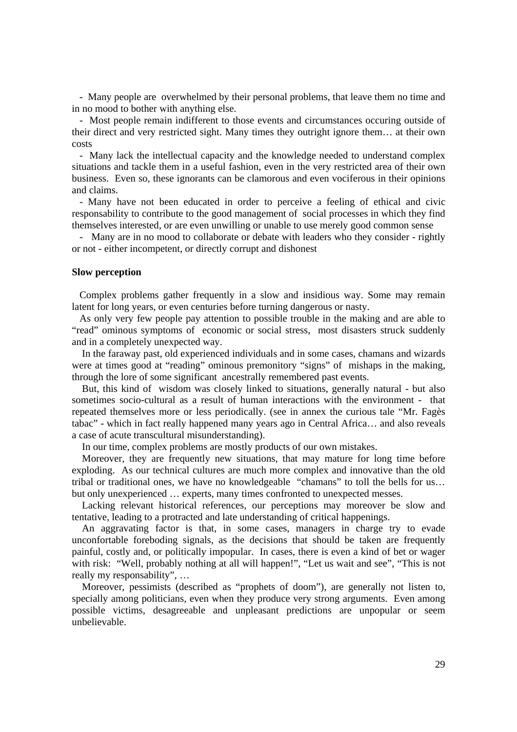- Many people are overwhelmed by their personal problems, that leave them no time and in no mood to bother with anything else.

 - Most people remain indifferent to those events and circumstances occuring outside of their direct and very restricted sight. Many times they outright ignore them… at their own costs

 - Many lack the intellectual capacity and the knowledge needed to understand complex situations and tackle them in a useful fashion, even in the very restricted area of their own business. Even so, these ignorants can be clamorous and even vociferous in their opinions and claims.

 - Many have not been educated in order to perceive a feeling of ethical and civic responsability to contribute to the good management of social processes in which they find themselves interested, or are even unwilling or unable to use merely good common sense

 - Many are in no mood to collaborate or debate with leaders who they consider - rightly or not - either incompetent, or directly corrupt and dishonest

### **Slow perception**

 Complex problems gather frequently in a slow and insidious way. Some may remain latent for long years, or even centuries before turning dangerous or nasty.

 As only very few people pay attention to possible trouble in the making and are able to "read" ominous symptoms of economic or social stress, most disasters struck suddenly and in a completely unexpected way.

 In the faraway past, old experienced individuals and in some cases, chamans and wizards were at times good at "reading" ominous premonitory "signs" of mishaps in the making, through the lore of some significant ancestrally remembered past events.

 But, this kind of wisdom was closely linked to situations, generally natural - but also sometimes socio-cultural as a result of human interactions with the environment - that repeated themselves more or less periodically. (see in annex the curious tale "Mr. Fagès tabac" - which in fact really happened many years ago in Central Africa… and also reveals a case of acute transcultural misunderstanding).

In our time, complex problems are mostly products of our own mistakes.

 Moreover, they are frequently new situations, that may mature for long time before exploding. As our technical cultures are much more complex and innovative than the old tribal or traditional ones, we have no knowledgeable "chamans" to toll the bells for us… but only unexperienced … experts, many times confronted to unexpected messes.

 Lacking relevant historical references, our perceptions may moreover be slow and tentative, leading to a protracted and late understanding of critical happenings.

 An aggravating factor is that, in some cases, managers in charge try to evade unconfortable foreboding signals, as the decisions that should be taken are frequently painful, costly and, or politically impopular. In cases, there is even a kind of bet or wager with risk: "Well, probably nothing at all will happen!", "Let us wait and see", "This is not really my responsability", …

 Moreover, pessimists (described as "prophets of doom"), are generally not listen to, specially among politicians, even when they produce very strong arguments. Even among possible victims, desagreeable and unpleasant predictions are unpopular or seem unbelievable.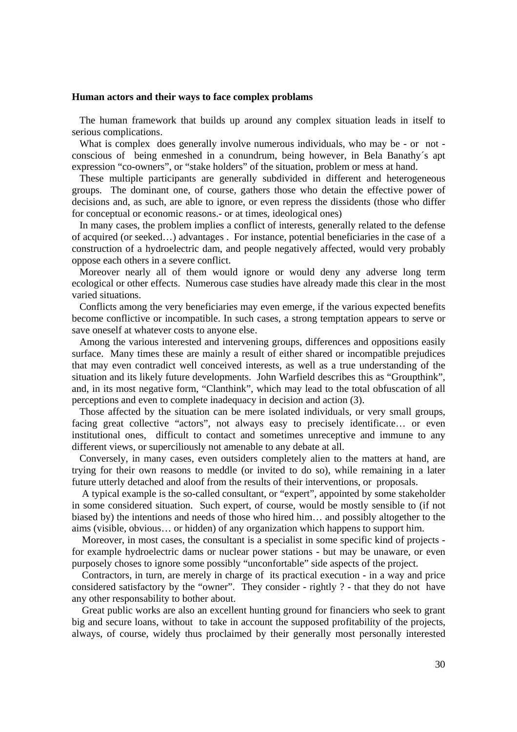#### **Human actors and their ways to face complex problams**

 The human framework that builds up around any complex situation leads in itself to serious complications.

What is complex does generally involve numerous individuals, who may be - or not conscious of being enmeshed in a conundrum, being however, in Bela Banathy´s apt expression "co-owners", or "stake holders" of the situation, problem or mess at hand.

 These multiple participants are generally subdivided in different and heterogeneous groups. The dominant one, of course, gathers those who detain the effective power of decisions and, as such, are able to ignore, or even repress the dissidents (those who differ for conceptual or economic reasons.- or at times, ideological ones)

 In many cases, the problem implies a conflict of interests, generally related to the defense of acquired (or seeked…) advantages . For instance, potential beneficiaries in the case of a construction of a hydroelectric dam, and people negatively affected, would very probably oppose each others in a severe conflict.

 Moreover nearly all of them would ignore or would deny any adverse long term ecological or other effects. Numerous case studies have already made this clear in the most varied situations.

 Conflicts among the very beneficiaries may even emerge, if the various expected benefits become conflictive or incompatible. In such cases, a strong temptation appears to serve or save oneself at whatever costs to anyone else.

 Among the various interested and intervening groups, differences and oppositions easily surface. Many times these are mainly a result of either shared or incompatible prejudices that may even contradict well conceived interests, as well as a true understanding of the situation and its likely future developments. John Warfield describes this as "Groupthink", and, in its most negative form, "Clanthink", which may lead to the total obfuscation of all perceptions and even to complete inadequacy in decision and action (3).

 Those affected by the situation can be mere isolated individuals, or very small groups, facing great collective "actors", not always easy to precisely identificate… or even institutional ones, difficult to contact and sometimes unreceptive and immune to any different views, or superciliously not amenable to any debate at all.

 Conversely, in many cases, even outsiders completely alien to the matters at hand, are trying for their own reasons to meddle (or invited to do so), while remaining in a later future utterly detached and aloof from the results of their interventions, or proposals.

 A typical example is the so-called consultant, or "expert", appointed by some stakeholder in some considered situation. Such expert, of course, would be mostly sensible to (if not biased by) the intentions and needs of those who hired him… and possibly altogether to the aims (visible, obvious… or hidden) of any organization which happens to support him.

 Moreover, in most cases, the consultant is a specialist in some specific kind of projects for example hydroelectric dams or nuclear power stations - but may be unaware, or even purposely choses to ignore some possibly "unconfortable" side aspects of the project.

 Contractors, in turn, are merely in charge of its practical execution - in a way and price considered satisfactory by the "owner". They consider - rightly ? - that they do not have any other responsability to bother about.

 Great public works are also an excellent hunting ground for financiers who seek to grant big and secure loans, without to take in account the supposed profitability of the projects, always, of course, widely thus proclaimed by their generally most personally interested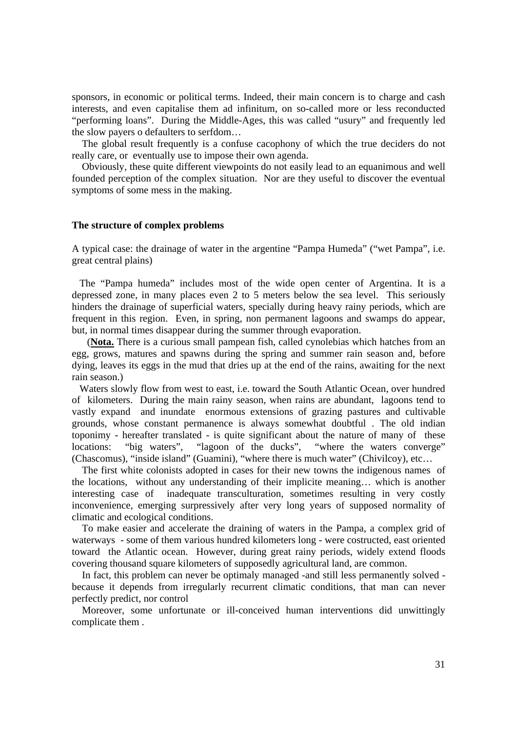sponsors, in economic or political terms. Indeed, their main concern is to charge and cash interests, and even capitalise them ad infinitum, on so-called more or less reconducted "performing loans". During the Middle-Ages, this was called "usury" and frequently led the slow payers o defaulters to serfdom…

 The global result frequently is a confuse cacophony of which the true deciders do not really care, or eventually use to impose their own agenda.

 Obviously, these quite different viewpoints do not easily lead to an equanimous and well founded perception of the complex situation. Nor are they useful to discover the eventual symptoms of some mess in the making.

## **The structure of complex problems**

A typical case: the drainage of water in the argentine "Pampa Humeda" ("wet Pampa", i.e. great central plains)

 The "Pampa humeda" includes most of the wide open center of Argentina. It is a depressed zone, in many places even 2 to 5 meters below the sea level. This seriously hinders the drainage of superficial waters, specially during heavy rainy periods, which are frequent in this region. Even, in spring, non permanent lagoons and swamps do appear, but, in normal times disappear during the summer through evaporation.

 (**Nota.** There is a curious small pampean fish, called cynolebias which hatches from an egg, grows, matures and spawns during the spring and summer rain season and, before dying, leaves its eggs in the mud that dries up at the end of the rains, awaiting for the next rain season.)

 Waters slowly flow from west to east, i.e. toward the South Atlantic Ocean, over hundred of kilometers. During the main rainy season, when rains are abundant, lagoons tend to vastly expand and inundate enormous extensions of grazing pastures and cultivable grounds, whose constant permanence is always somewhat doubtful . The old indian toponimy - hereafter translated - is quite significant about the nature of many of these locations: "big waters", "lagoon of the ducks", "where the waters converge" (Chascomus), "inside island" (Guamini), "where there is much water" (Chivilcoy), etc…

 The first white colonists adopted in cases for their new towns the indigenous names of the locations, without any understanding of their implicite meaning… which is another interesting case of inadequate transculturation, sometimes resulting in very costly inconvenience, emerging surpressively after very long years of supposed normality of climatic and ecological conditions.

 To make easier and accelerate the draining of waters in the Pampa, a complex grid of waterways - some of them various hundred kilometers long - were costructed, east oriented toward the Atlantic ocean. However, during great rainy periods, widely extend floods covering thousand square kilometers of supposedly agricultural land, are common.

 In fact, this problem can never be optimaly managed -and still less permanently solved because it depends from irregularly recurrent climatic conditions, that man can never perfectly predict, nor control

 Moreover, some unfortunate or ill-conceived human interventions did unwittingly complicate them .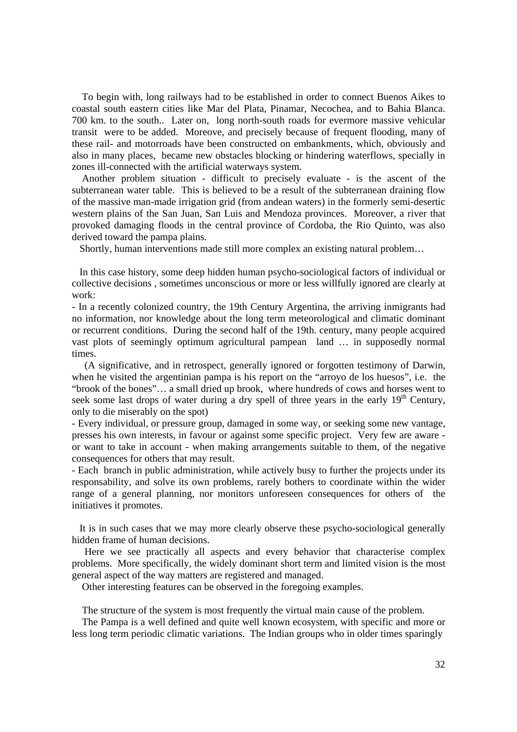To begin with, long railways had to be established in order to connect Buenos Aikes to coastal south eastern cities like Mar del Plata, Pinamar, Necochea, and to Bahia Blanca. 700 km. to the south.. Later on, long north-south roads for evermore massive vehicular transit were to be added. Moreove, and precisely because of frequent flooding, many of these rail- and motorroads have been constructed on embankments, which, obviously and also in many places, became new obstacles blocking or hindering waterflows, specially in zones ill-connected with the artificial waterways system.

 Another problem situation - difficult to precisely evaluate - is the ascent of the subterranean water table. This is believed to be a result of the subterranean draining flow of the massive man-made irrigation grid (from andean waters) in the formerly semi-desertic western plains of the San Juan, San Luis and Mendoza provinces. Moreover, a river that provoked damaging floods in the central province of Cordoba, the Rio Quinto, was also derived toward the pampa plains.

Shortly, human interventions made still more complex an existing natural problem…

 In this case history, some deep hidden human psycho-sociological factors of individual or collective decisions , sometimes unconscious or more or less willfully ignored are clearly at work:

- In a recently colonized country, the 19th Century Argentina, the arriving inmigrants had no information, nor knowledge about the long term meteorological and climatic dominant or recurrent conditions. During the second half of the 19th. century, many people acquired vast plots of seemingly optimum agricultural pampean land … in supposedly normal times.

 (A significative, and in retrospect, generally ignored or forgotten testimony of Darwin, when he visited the argentinian pampa is his report on the "arroyo de los huesos", i.e. the "brook of the bones"… a small dried up brook, where hundreds of cows and horses went to seek some last drops of water during a dry spell of three years in the early 19<sup>th</sup> Century. only to die miserably on the spot)

- Every individual, or pressure group, damaged in some way, or seeking some new vantage, presses his own interests, in favour or against some specific project. Very few are aware or want to take in account - when making arrangements suitable to them, of the negative consequences for others that may result.

- Each branch in public administration, while actively busy to further the projects under its responsability, and solve its own problems, rarely bothers to coordinate within the wider range of a general planning, nor monitors unforeseen consequences for others of the initiatives it promotes.

 It is in such cases that we may more clearly observe these psycho-sociological generally hidden frame of human decisions.

 Here we see practically all aspects and every behavior that characterise complex problems. More specifically, the widely dominant short term and limited vision is the most general aspect of the way matters are registered and managed.

Other interesting features can be observed in the foregoing examples.

The structure of the system is most frequently the virtual main cause of the problem.

 The Pampa is a well defined and quite well known ecosystem, with specific and more or less long term periodic climatic variations. The Indian groups who in older times sparingly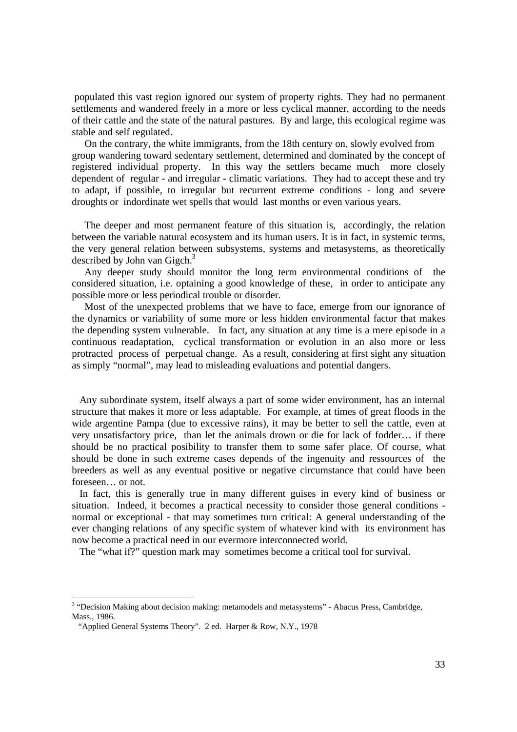populated this vast region ignored our system of property rights. They had no permanent settlements and wandered freely in a more or less cyclical manner, according to the needs of their cattle and the state of the natural pastures. By and large, this ecological regime was stable and self regulated.

 On the contrary, the white immigrants, from the 18th century on, slowly evolved from group wandering toward sedentary settlement, determined and dominated by the concept of registered individual property. In this way the settlers became much more closely dependent of regular - and irregular - climatic variations. They had to accept these and try to adapt, if possible, to irregular but recurrent extreme conditions - long and severe droughts or indordinate wet spells that would last months or even various years.

 The deeper and most permanent feature of this situation is, accordingly, the relation between the variable natural ecosystem and its human users. It is in fact, in systemic terms, the very general relation between subsystems, systems and metasystems, as theoretically described by John van Gigch. $3$ 

 Any deeper study should monitor the long term environmental conditions of the considered situation, i.e. optaining a good knowledge of these, in order to anticipate any possible more or less periodical trouble or disorder.

 Most of the unexpected problems that we have to face, emerge from our ignorance of the dynamics or variability of some more or less hidden environmental factor that makes the depending system vulnerable. In fact, any situation at any time is a mere episode in a continuous readaptation, cyclical transformation or evolution in an also more or less protracted process of perpetual change. As a result, considering at first sight any situation as simply "normal", may lead to misleading evaluations and potential dangers.

 Any subordinate system, itself always a part of some wider environment, has an internal structure that makes it more or less adaptable. For example, at times of great floods in the wide argentine Pampa (due to excessive rains), it may be better to sell the cattle, even at very unsatisfactory price, than let the animals drown or die for lack of fodder… if there should be no practical posibility to transfer them to some safer place. Of course, what should be done in such extreme cases depends of the ingenuity and ressources of the breeders as well as any eventual positive or negative circumstance that could have been foreseen… or not.

 In fact, this is generally true in many different guises in every kind of business or situation. Indeed, it becomes a practical necessity to consider those general conditions normal or exceptional - that may sometimes turn critical: A general understanding of the ever changing relations of any specific system of whatever kind with its environment has now become a practical need in our evermore interconnected world.

The "what if?" question mark may sometimes become a critical tool for survival.

<sup>&</sup>lt;sup>3</sup> "Decision Making about decision making: metamodels and metasystems" - Abacus Press, Cambridge, Mass., 1986.

 <sup>&</sup>quot;Applied General Systems Theory". 2 ed. Harper & Row, N.Y., 1978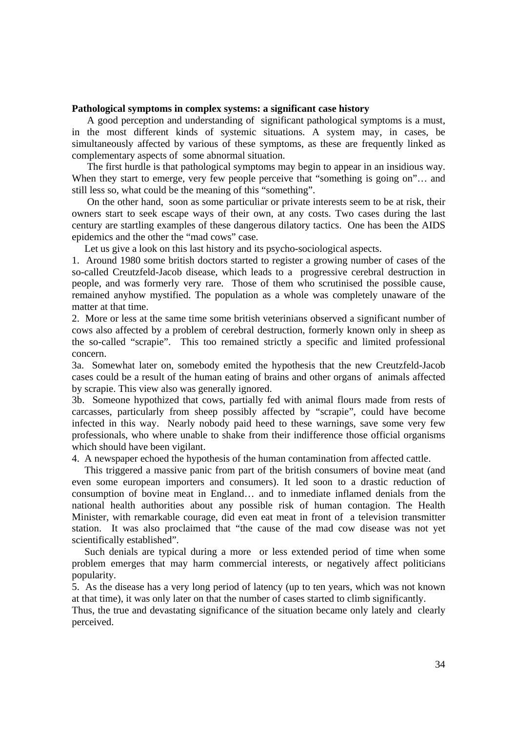# **Pathological symptoms in complex systems: a significant case history**

 A good perception and understanding of significant pathological symptoms is a must, in the most different kinds of systemic situations. A system may, in cases, be simultaneously affected by various of these symptoms, as these are frequently linked as complementary aspects of some abnormal situation.

 The first hurdle is that pathological symptoms may begin to appear in an insidious way. When they start to emerge, very few people perceive that "something is going on"... and still less so, what could be the meaning of this "something".

 On the other hand, soon as some particuliar or private interests seem to be at risk, their owners start to seek escape ways of their own, at any costs. Two cases during the last century are startling examples of these dangerous dilatory tactics. One has been the AIDS epidemics and the other the "mad cows" case.

Let us give a look on this last history and its psycho-sociological aspects.

1. Around 1980 some british doctors started to register a growing number of cases of the so-called Creutzfeld-Jacob disease, which leads to a progressive cerebral destruction in people, and was formerly very rare. Those of them who scrutinised the possible cause, remained anyhow mystified. The population as a whole was completely unaware of the matter at that time.

2. More or less at the same time some british veterinians observed a significant number of cows also affected by a problem of cerebral destruction, formerly known only in sheep as the so-called "scrapie". This too remained strictly a specific and limited professional concern.

3a. Somewhat later on, somebody emited the hypothesis that the new Creutzfeld-Jacob cases could be a result of the human eating of brains and other organs of animals affected by scrapie. This view also was generally ignored.

3b. Someone hypothized that cows, partially fed with animal flours made from rests of carcasses, particularly from sheep possibly affected by "scrapie", could have become infected in this way. Nearly nobody paid heed to these warnings, save some very few professionals, who where unable to shake from their indifference those official organisms which should have been vigilant.

4. A newspaper echoed the hypothesis of the human contamination from affected cattle.

 This triggered a massive panic from part of the british consumers of bovine meat (and even some european importers and consumers). It led soon to a drastic reduction of consumption of bovine meat in England… and to inmediate inflamed denials from the national health authorities about any possible risk of human contagion. The Health Minister, with remarkable courage, did even eat meat in front of a television transmitter station. It was also proclaimed that "the cause of the mad cow disease was not yet scientifically established".

 Such denials are typical during a more or less extended period of time when some problem emerges that may harm commercial interests, or negatively affect politicians popularity.

5. As the disease has a very long period of latency (up to ten years, which was not known at that time), it was only later on that the number of cases started to climb significantly.

Thus, the true and devastating significance of the situation became only lately and clearly perceived.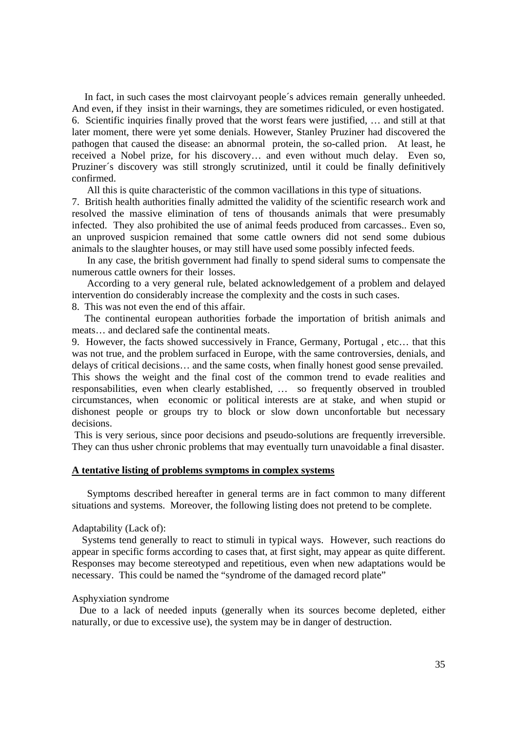In fact, in such cases the most clairvoyant people´s advices remain generally unheeded. And even, if they insist in their warnings, they are sometimes ridiculed, or even hostigated. 6. Scientific inquiries finally proved that the worst fears were justified, … and still at that later moment, there were yet some denials. However, Stanley Pruziner had discovered the pathogen that caused the disease: an abnormal protein, the so-called prion. At least, he received a Nobel prize, for his discovery… and even without much delay. Even so, Pruziner´s discovery was still strongly scrutinized, until it could be finally definitively confirmed.

All this is quite characteristic of the common vacillations in this type of situations.

7. British health authorities finally admitted the validity of the scientific research work and resolved the massive elimination of tens of thousands animals that were presumably infected. They also prohibited the use of animal feeds produced from carcasses.. Even so, an unproved suspicion remained that some cattle owners did not send some dubious animals to the slaughter houses, or may still have used some possibly infected feeds.

 In any case, the british government had finally to spend sideral sums to compensate the numerous cattle owners for their losses.

 According to a very general rule, belated acknowledgement of a problem and delayed intervention do considerably increase the complexity and the costs in such cases.

8. This was not even the end of this affair.

 The continental european authorities forbade the importation of british animals and meats… and declared safe the continental meats.

9. However, the facts showed successively in France, Germany, Portugal , etc… that this was not true, and the problem surfaced in Europe, with the same controversies, denials, and delays of critical decisions… and the same costs, when finally honest good sense prevailed. This shows the weight and the final cost of the common trend to evade realities and responsabilities, even when clearly established, … so frequently observed in troubled circumstances, when economic or political interests are at stake, and when stupid or dishonest people or groups try to block or slow down unconfortable but necessary decisions.

 This is very serious, since poor decisions and pseudo-solutions are frequently irreversible. They can thus usher chronic problems that may eventually turn unavoidable a final disaster.

# **A tentative listing of problems symptoms in complex systems**

 Symptoms described hereafter in general terms are in fact common to many different situations and systems. Moreover, the following listing does not pretend to be complete.

### Adaptability (Lack of):

 Systems tend generally to react to stimuli in typical ways. However, such reactions do appear in specific forms according to cases that, at first sight, may appear as quite different. Responses may become stereotyped and repetitious, even when new adaptations would be necessary. This could be named the "syndrome of the damaged record plate"

## Asphyxiation syndrome

 Due to a lack of needed inputs (generally when its sources become depleted, either naturally, or due to excessive use), the system may be in danger of destruction.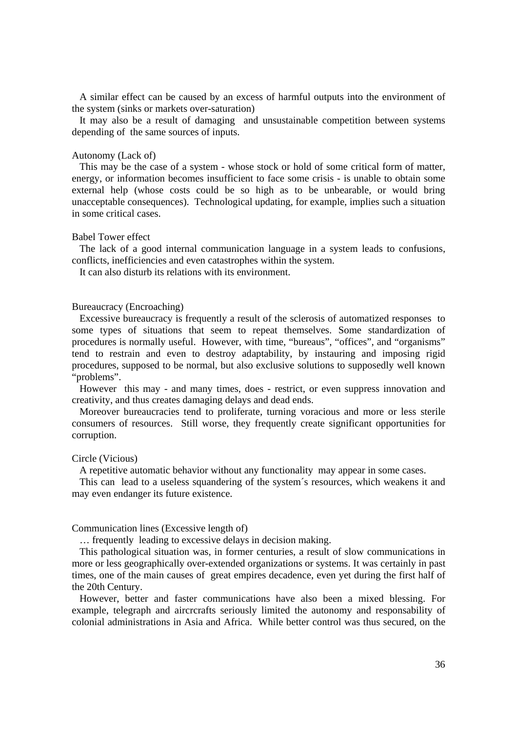A similar effect can be caused by an excess of harmful outputs into the environment of the system (sinks or markets over-saturation)

 It may also be a result of damaging and unsustainable competition between systems depending of the same sources of inputs.

#### Autonomy (Lack of)

 This may be the case of a system - whose stock or hold of some critical form of matter, energy, or information becomes insufficient to face some crisis - is unable to obtain some external help (whose costs could be so high as to be unbearable, or would bring unacceptable consequences). Technological updating, for example, implies such a situation in some critical cases.

### Babel Tower effect

 The lack of a good internal communication language in a system leads to confusions, conflicts, inefficiencies and even catastrophes within the system.

It can also disturb its relations with its environment.

## Bureaucracy (Encroaching)

 Excessive bureaucracy is frequently a result of the sclerosis of automatized responses to some types of situations that seem to repeat themselves. Some standardization of procedures is normally useful. However, with time, "bureaus", "offices", and "organisms" tend to restrain and even to destroy adaptability, by instauring and imposing rigid procedures, supposed to be normal, but also exclusive solutions to supposedly well known "problems".

 However this may - and many times, does - restrict, or even suppress innovation and creativity, and thus creates damaging delays and dead ends.

 Moreover bureaucracies tend to proliferate, turning voracious and more or less sterile consumers of resources. Still worse, they frequently create significant opportunities for corruption.

#### Circle (Vicious)

A repetitive automatic behavior without any functionality may appear in some cases.

 This can lead to a useless squandering of the system´s resources, which weakens it and may even endanger its future existence.

#### Communication lines (Excessive length of)

… frequently leading to excessive delays in decision making.

 This pathological situation was, in former centuries, a result of slow communications in more or less geographically over-extended organizations or systems. It was certainly in past times, one of the main causes of great empires decadence, even yet during the first half of the 20th Century.

 However, better and faster communications have also been a mixed blessing. For example, telegraph and aircrcrafts seriously limited the autonomy and responsability of colonial administrations in Asia and Africa. While better control was thus secured, on the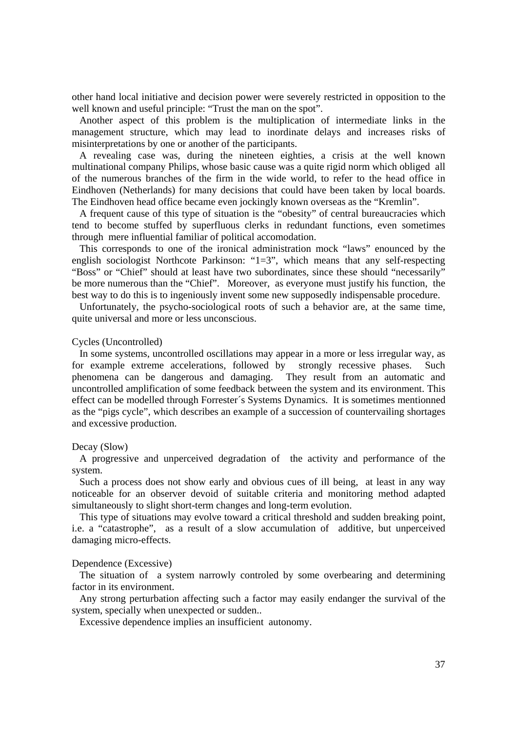other hand local initiative and decision power were severely restricted in opposition to the well known and useful principle: "Trust the man on the spot".

 Another aspect of this problem is the multiplication of intermediate links in the management structure, which may lead to inordinate delays and increases risks of misinterpretations by one or another of the participants.

 A revealing case was, during the nineteen eighties, a crisis at the well known multinational company Philips, whose basic cause was a quite rigid norm which obliged all of the numerous branches of the firm in the wide world, to refer to the head office in Eindhoven (Netherlands) for many decisions that could have been taken by local boards. The Eindhoven head office became even jockingly known overseas as the "Kremlin".

 A frequent cause of this type of situation is the "obesity" of central bureaucracies which tend to become stuffed by superfluous clerks in redundant functions, even sometimes through mere influential familiar of political accomodation.

 This corresponds to one of the ironical administration mock "laws" enounced by the english sociologist Northcote Parkinson: "1=3", which means that any self-respecting "Boss" or "Chief" should at least have two subordinates, since these should "necessarily" be more numerous than the "Chief". Moreover, as everyone must justify his function, the best way to do this is to ingeniously invent some new supposedly indispensable procedure.

 Unfortunately, the psycho-sociological roots of such a behavior are, at the same time, quite universal and more or less unconscious.

## Cycles (Uncontrolled)

 In some systems, uncontrolled oscillations may appear in a more or less irregular way, as for example extreme accelerations, followed by strongly recessive phases. Such phenomena can be dangerous and damaging. They result from an automatic and uncontrolled amplification of some feedback between the system and its environment. This effect can be modelled through Forrester´s Systems Dynamics. It is sometimes mentionned as the "pigs cycle", which describes an example of a succession of countervailing shortages and excessive production.

## Decay (Slow)

 A progressive and unperceived degradation of the activity and performance of the system.

 Such a process does not show early and obvious cues of ill being, at least in any way noticeable for an observer devoid of suitable criteria and monitoring method adapted simultaneously to slight short-term changes and long-term evolution.

 This type of situations may evolve toward a critical threshold and sudden breaking point, i.e. a "catastrophe", as a result of a slow accumulation of additive, but unperceived damaging micro-effects.

#### Dependence (Excessive)

 The situation of a system narrowly controled by some overbearing and determining factor in its environment.

 Any strong perturbation affecting such a factor may easily endanger the survival of the system, specially when unexpected or sudden..

Excessive dependence implies an insufficient autonomy.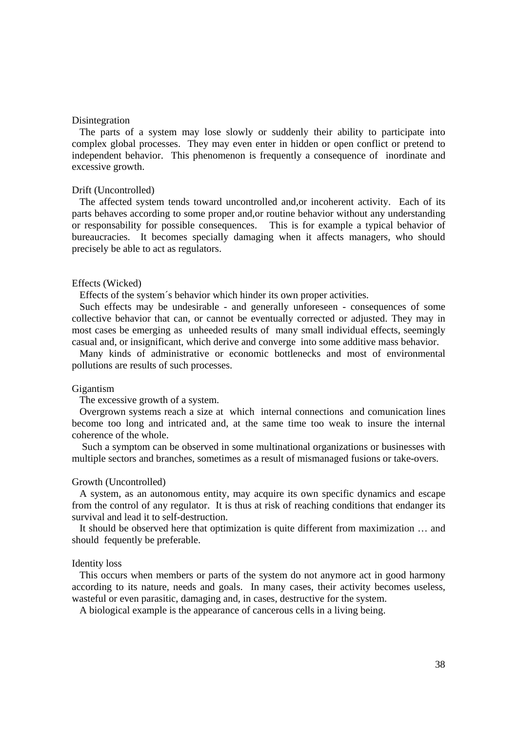### Disintegration

 The parts of a system may lose slowly or suddenly their ability to participate into complex global processes. They may even enter in hidden or open conflict or pretend to independent behavior. This phenomenon is frequently a consequence of inordinate and excessive growth.

#### Drift (Uncontrolled)

 The affected system tends toward uncontrolled and,or incoherent activity. Each of its parts behaves according to some proper and,or routine behavior without any understanding or responsability for possible consequences. This is for example a typical behavior of bureaucracies. It becomes specially damaging when it affects managers, who should precisely be able to act as regulators.

### Effects (Wicked)

Effects of the system´s behavior which hinder its own proper activities.

 Such effects may be undesirable - and generally unforeseen - consequences of some collective behavior that can, or cannot be eventually corrected or adjusted. They may in most cases be emerging as unheeded results of many small individual effects, seemingly casual and, or insignificant, which derive and converge into some additive mass behavior.

 Many kinds of administrative or economic bottlenecks and most of environmental pollutions are results of such processes.

#### Gigantism

The excessive growth of a system.

 Overgrown systems reach a size at which internal connections and comunication lines become too long and intricated and, at the same time too weak to insure the internal coherence of the whole.

 Such a symptom can be observed in some multinational organizations or businesses with multiple sectors and branches, sometimes as a result of mismanaged fusions or take-overs.

#### Growth (Uncontrolled)

 A system, as an autonomous entity, may acquire its own specific dynamics and escape from the control of any regulator. It is thus at risk of reaching conditions that endanger its survival and lead it to self-destruction.

 It should be observed here that optimization is quite different from maximization … and should fequently be preferable.

#### Identity loss

 This occurs when members or parts of the system do not anymore act in good harmony according to its nature, needs and goals. In many cases, their activity becomes useless, wasteful or even parasitic, damaging and, in cases, destructive for the system.

A biological example is the appearance of cancerous cells in a living being.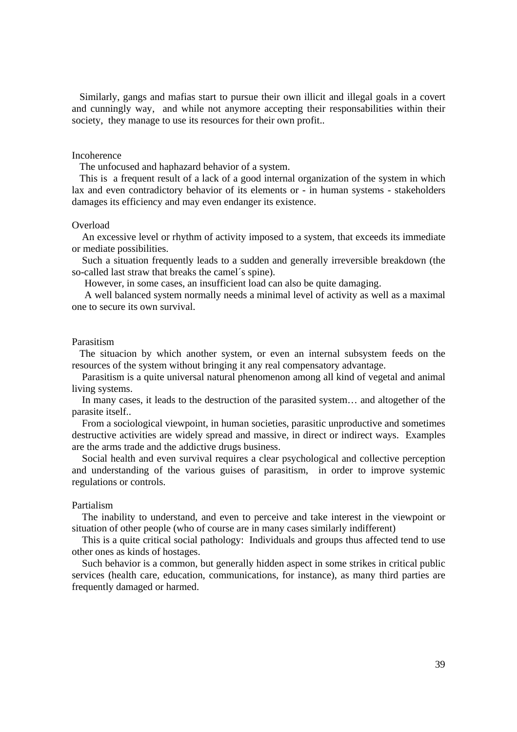Similarly, gangs and mafias start to pursue their own illicit and illegal goals in a covert and cunningly way, and while not anymore accepting their responsabilities within their society, they manage to use its resources for their own profit..

#### Incoherence

The unfocused and haphazard behavior of a system.

 This is a frequent result of a lack of a good internal organization of the system in which lax and even contradictory behavior of its elements or - in human systems - stakeholders damages its efficiency and may even endanger its existence.

# Overload

 An excessive level or rhythm of activity imposed to a system, that exceeds its immediate or mediate possibilities.

 Such a situation frequently leads to a sudden and generally irreversible breakdown (the so-called last straw that breaks the camel's spine).

However, in some cases, an insufficient load can also be quite damaging.

 A well balanced system normally needs a minimal level of activity as well as a maximal one to secure its own survival.

# Parasitism

 The situacion by which another system, or even an internal subsystem feeds on the resources of the system without bringing it any real compensatory advantage.

 Parasitism is a quite universal natural phenomenon among all kind of vegetal and animal living systems.

 In many cases, it leads to the destruction of the parasited system… and altogether of the parasite itself..

 From a sociological viewpoint, in human societies, parasitic unproductive and sometimes destructive activities are widely spread and massive, in direct or indirect ways. Examples are the arms trade and the addictive drugs business.

 Social health and even survival requires a clear psychological and collective perception and understanding of the various guises of parasitism, in order to improve systemic regulations or controls.

#### Partialism

 The inability to understand, and even to perceive and take interest in the viewpoint or situation of other people (who of course are in many cases similarly indifferent)

 This is a quite critical social pathology: Individuals and groups thus affected tend to use other ones as kinds of hostages.

 Such behavior is a common, but generally hidden aspect in some strikes in critical public services (health care, education, communications, for instance), as many third parties are frequently damaged or harmed.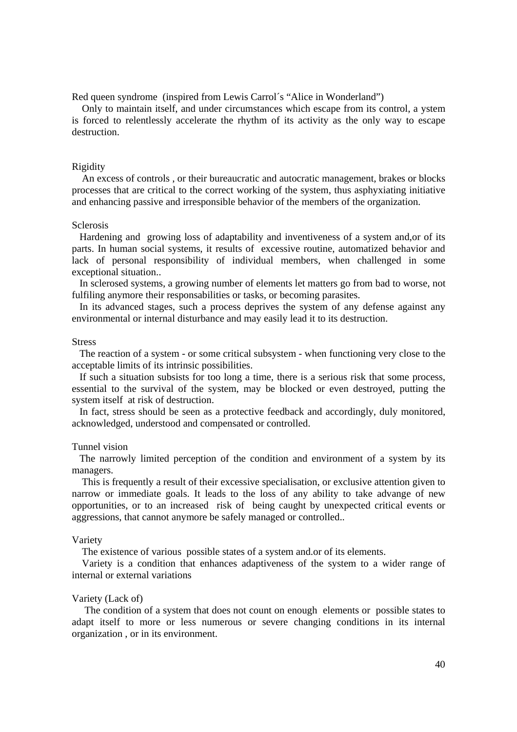Red queen syndrome (inspired from Lewis Carrol´s "Alice in Wonderland")

 Only to maintain itself, and under circumstances which escape from its control, a ystem is forced to relentlessly accelerate the rhythm of its activity as the only way to escape destruction.

## Rigidity

 An excess of controls , or their bureaucratic and autocratic management, brakes or blocks processes that are critical to the correct working of the system, thus asphyxiating initiative and enhancing passive and irresponsible behavior of the members of the organization.

# Sclerosis

 Hardening and growing loss of adaptability and inventiveness of a system and,or of its parts. In human social systems, it results of excessive routine, automatized behavior and lack of personal responsibility of individual members, when challenged in some exceptional situation..

 In sclerosed systems, a growing number of elements let matters go from bad to worse, not fulfiling anymore their responsabilities or tasks, or becoming parasites.

 In its advanced stages, such a process deprives the system of any defense against any environmental or internal disturbance and may easily lead it to its destruction.

## **Stress**

 The reaction of a system - or some critical subsystem - when functioning very close to the acceptable limits of its intrinsic possibilities.

 If such a situation subsists for too long a time, there is a serious risk that some process, essential to the survival of the system, may be blocked or even destroyed, putting the system itself at risk of destruction.

 In fact, stress should be seen as a protective feedback and accordingly, duly monitored, acknowledged, understood and compensated or controlled.

#### Tunnel vision

 The narrowly limited perception of the condition and environment of a system by its managers.

 This is frequently a result of their excessive specialisation, or exclusive attention given to narrow or immediate goals. It leads to the loss of any ability to take advange of new opportunities, or to an increased risk of being caught by unexpected critical events or aggressions, that cannot anymore be safely managed or controlled..

#### Variety

The existence of various possible states of a system and.or of its elements.

 Variety is a condition that enhances adaptiveness of the system to a wider range of internal or external variations

## Variety (Lack of)

 The condition of a system that does not count on enough elements or possible states to adapt itself to more or less numerous or severe changing conditions in its internal organization , or in its environment.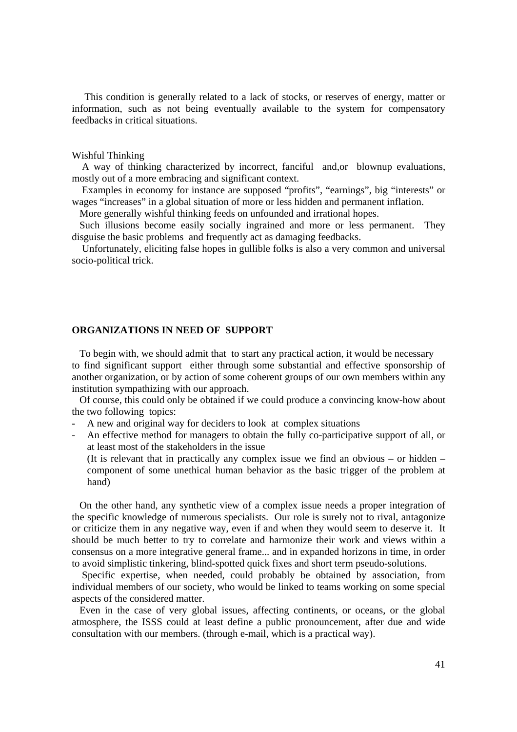This condition is generally related to a lack of stocks, or reserves of energy, matter or information, such as not being eventually available to the system for compensatory feedbacks in critical situations.

#### Wishful Thinking

 A way of thinking characterized by incorrect, fanciful and,or blownup evaluations, mostly out of a more embracing and significant context.

 Examples in economy for instance are supposed "profits", "earnings", big "interests" or wages "increases" in a global situation of more or less hidden and permanent inflation.

More generally wishful thinking feeds on unfounded and irrational hopes.

 Such illusions become easily socially ingrained and more or less permanent. They disguise the basic problems and frequently act as damaging feedbacks.

 Unfortunately, eliciting false hopes in gullible folks is also a very common and universal socio-political trick.

# **ORGANIZATIONS IN NEED OF SUPPORT**

 To begin with, we should admit that to start any practical action, it would be necessary to find significant support either through some substantial and effective sponsorship of another organization, or by action of some coherent groups of our own members within any institution sympathizing with our approach.

 Of course, this could only be obtained if we could produce a convincing know-how about the two following topics:

- A new and original way for deciders to look at complex situations

- An effective method for managers to obtain the fully co-participative support of all, or at least most of the stakeholders in the issue

(It is relevant that in practically any complex issue we find an obvious – or hidden – component of some unethical human behavior as the basic trigger of the problem at hand)

 On the other hand, any synthetic view of a complex issue needs a proper integration of the specific knowledge of numerous specialists. Our role is surely not to rival, antagonize or criticize them in any negative way, even if and when they would seem to deserve it. It should be much better to try to correlate and harmonize their work and views within a consensus on a more integrative general frame... and in expanded horizons in time, in order to avoid simplistic tinkering, blind-spotted quick fixes and short term pseudo-solutions.

 Specific expertise, when needed, could probably be obtained by association, from individual members of our society, who would be linked to teams working on some special aspects of the considered matter.

 Even in the case of very global issues, affecting continents, or oceans, or the global atmosphere, the ISSS could at least define a public pronouncement, after due and wide consultation with our members. (through e-mail, which is a practical way).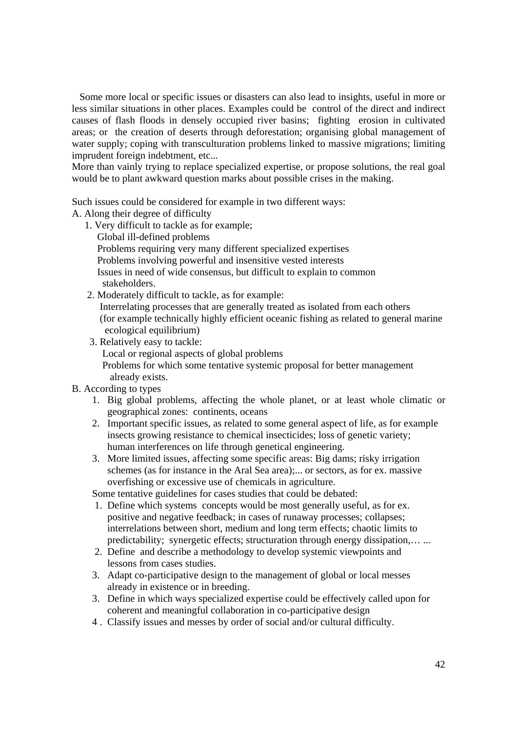Some more local or specific issues or disasters can also lead to insights, useful in more or less similar situations in other places. Examples could be control of the direct and indirect causes of flash floods in densely occupied river basins; fighting erosion in cultivated areas; or the creation of deserts through deforestation; organising global management of water supply; coping with transculturation problems linked to massive migrations; limiting imprudent foreign indebtment, etc...

More than vainly trying to replace specialized expertise, or propose solutions, the real goal would be to plant awkward question marks about possible crises in the making.

Such issues could be considered for example in two different ways:

A. Along their degree of difficulty

- 1. Very difficult to tackle as for example; Global ill-defined problems Problems requiring very many different specialized expertises Problems involving powerful and insensitive vested interests Issues in need of wide consensus, but difficult to explain to common stakeholders.
- 2. Moderately difficult to tackle, as for example:

 Interrelating processes that are generally treated as isolated from each others (for example technically highly efficient oceanic fishing as related to general marine ecological equilibrium)

3. Relatively easy to tackle:

Local or regional aspects of global problems

 Problems for which some tentative systemic proposal for better management already exists.

# B. According to types

- 1. Big global problems, affecting the whole planet, or at least whole climatic or geographical zones: continents, oceans
- 2. Important specific issues, as related to some general aspect of life, as for example insects growing resistance to chemical insecticides; loss of genetic variety; human interferences on life through genetical engineering.
- 3. More limited issues, affecting some specific areas: Big dams; risky irrigation schemes (as for instance in the Aral Sea area);... or sectors, as for ex. massive overfishing or excessive use of chemicals in agriculture.

Some tentative guidelines for cases studies that could be debated:

- 1. Define which systems concepts would be most generally useful, as for ex. positive and negative feedback; in cases of runaway processes; collapses; interrelations between short, medium and long term effects; chaotic limits to predictability; synergetic effects; structuration through energy dissipation,… ...
- 2. Define and describe a methodology to develop systemic viewpoints and lessons from cases studies.
- 3. Adapt co-participative design to the management of global or local messes already in existence or in breeding.
- 3. Define in which ways specialized expertise could be effectively called upon for coherent and meaningful collaboration in co-participative design
- 4 . Classify issues and messes by order of social and/or cultural difficulty.